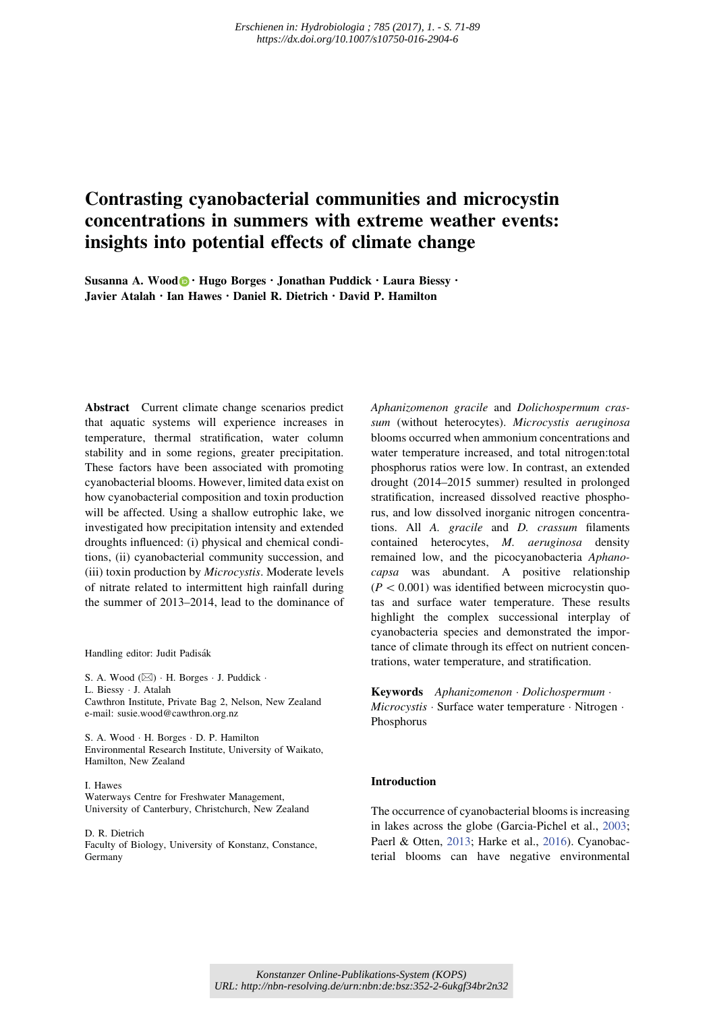# Contrasting cyanobacterial communities and microcystin concentrations in summers with extreme weather events: insights into potential effects of climate change

Susanna A. Wood  $\bigcirc \cdot$  Hugo Borges  $\cdot$  Jonathan Puddick  $\cdot$  Laura Biessy  $\cdot$ Javier Atalah · Ian Hawes · Daniel R. Dietrich · David P. Hamilton

Abstract Current climate change scenarios predict that aquatic systems will experience increases in temperature, thermal stratification, water column stability and in some regions, greater precipitation. These factors have been associated with promoting cyanobacterial blooms. However, limited data exist on how cyanobacterial composition and toxin production will be affected. Using a shallow eutrophic lake, we investigated how precipitation intensity and extended droughts influenced: (i) physical and chemical conditions, (ii) cyanobacterial community succession, and (iii) toxin production by Microcystis. Moderate levels of nitrate related to intermittent high rainfall during the summer of 2013–2014, lead to the dominance of

Handling editor: Judit Padisák

S. A. Wood  $(\boxtimes)$  · H. Borges · J. Puddick · L. Biessy - J. Atalah Cawthron Institute, Private Bag 2, Nelson, New Zealand e-mail: susie.wood@cawthron.org.nz

S. A. Wood - H. Borges - D. P. Hamilton Environmental Research Institute, University of Waikato, Hamilton, New Zealand

I. Hawes Waterways Centre for Freshwater Management, University of Canterbury, Christchurch, New Zealand

D. R. Dietrich Faculty of Biology, University of Konstanz, Constance, Germany

Aphanizomenon gracile and Dolichospermum crassum (without heterocytes). Microcystis aeruginosa blooms occurred when ammonium concentrations and water temperature increased, and total nitrogen:total phosphorus ratios were low. In contrast, an extended drought (2014–2015 summer) resulted in prolonged stratification, increased dissolved reactive phosphorus, and low dissolved inorganic nitrogen concentrations. All A. gracile and D. crassum filaments contained heterocytes, M. aeruginosa density remained low, and the picocyanobacteria Aphanocapsa was abundant. A positive relationship  $(P < 0.001)$  was identified between microcystin quotas and surface water temperature. These results highlight the complex successional interplay of cyanobacteria species and demonstrated the importance of climate through its effect on nutrient concentrations, water temperature, and stratification.

Keywords Aphanizomenon Dolichospermum · Microcystis · Surface water temperature · Nitrogen · Phosphorus

## Introduction

The occurrence of cyanobacterial blooms is increasing in lakes across the globe (Garcia-Pichel et al., 2003; Paerl & Otten, 2013; Harke et al., 2016). Cyanobacterial blooms can have negative environmental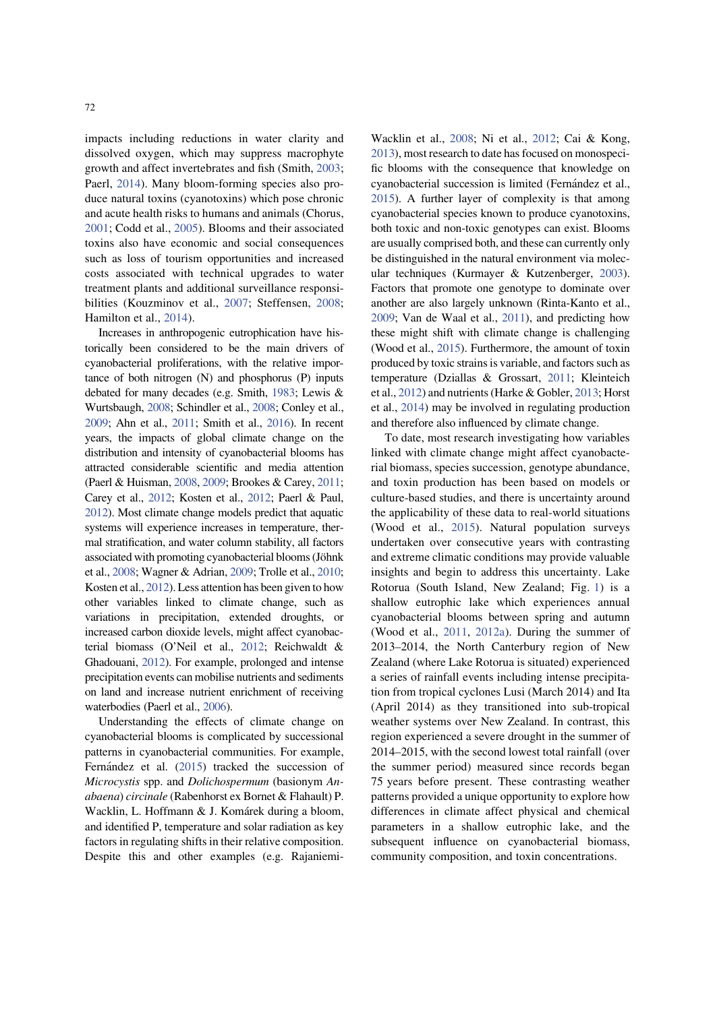impacts including reductions in water clarity and dissolved oxygen, which may suppress macrophyte growth and affect invertebrates and fish (Smith, 2003; Paerl, 2014). Many bloom-forming species also produce natural toxins (cyanotoxins) which pose chronic and acute health risks to humans and animals (Chorus, 2001; Codd et al., 2005). Blooms and their associated toxins also have economic and social consequences such as loss of tourism opportunities and increased costs associated with technical upgrades to water treatment plants and additional surveillance responsibilities (Kouzminov et al., 2007; Steffensen, 2008; Hamilton et al., 2014).

Increases in anthropogenic eutrophication have historically been considered to be the main drivers of cyanobacterial proliferations, with the relative importance of both nitrogen (N) and phosphorus (P) inputs debated for many decades (e.g. Smith, 1983; Lewis & Wurtsbaugh, 2008; Schindler et al., 2008; Conley et al., 2009; Ahn et al., 2011; Smith et al., 2016). In recent years, the impacts of global climate change on the distribution and intensity of cyanobacterial blooms has attracted considerable scientific and media attention (Paerl & Huisman, 2008, 2009; Brookes & Carey, 2011; Carey et al., 2012; Kosten et al., 2012; Paerl & Paul, 2012). Most climate change models predict that aquatic systems will experience increases in temperature, thermal stratification, and water column stability, all factors associated with promoting cyanobacterial blooms (Jöhnk et al., 2008; Wagner & Adrian, 2009; Trolle et al., 2010; Kosten et al., 2012). Less attention has been given to how other variables linked to climate change, such as variations in precipitation, extended droughts, or increased carbon dioxide levels, might affect cyanobacterial biomass (O'Neil et al., 2012; Reichwaldt & Ghadouani, 2012). For example, prolonged and intense precipitation events can mobilise nutrients and sediments on land and increase nutrient enrichment of receiving waterbodies (Paerl et al., 2006).

Understanding the effects of climate change on cyanobacterial blooms is complicated by successional patterns in cyanobacterial communities. For example, Fernández et al. (2015) tracked the succession of Microcystis spp. and Dolichospermum (basionym Anabaena) circinale (Rabenhorst ex Bornet & Flahault) P. Wacklin, L. Hoffmann & J. Komárek during a bloom, and identified P, temperature and solar radiation as key factors in regulating shifts in their relative composition. Despite this and other examples (e.g. RajaniemiWacklin et al., 2008; Ni et al., 2012; Cai & Kong, 2013), most research to date has focused on monospecific blooms with the consequence that knowledge on cyanobacterial succession is limited (Fernández et al., 2015). A further layer of complexity is that among cyanobacterial species known to produce cyanotoxins, both toxic and non-toxic genotypes can exist. Blooms are usually comprised both, and these can currently only be distinguished in the natural environment via molecular techniques (Kurmayer & Kutzenberger, 2003). Factors that promote one genotype to dominate over another are also largely unknown (Rinta-Kanto et al., 2009; Van de Waal et al., 2011), and predicting how these might shift with climate change is challenging (Wood et al., 2015). Furthermore, the amount of toxin produced by toxic strains is variable, and factors such as temperature (Dziallas & Grossart, 2011; Kleinteich et al., 2012) and nutrients (Harke & Gobler, 2013; Horst et al., 2014) may be involved in regulating production and therefore also influenced by climate change.

To date, most research investigating how variables linked with climate change might affect cyanobacterial biomass, species succession, genotype abundance, and toxin production has been based on models or culture-based studies, and there is uncertainty around the applicability of these data to real-world situations (Wood et al., 2015). Natural population surveys undertaken over consecutive years with contrasting and extreme climatic conditions may provide valuable insights and begin to address this uncertainty. Lake Rotorua (South Island, New Zealand; Fig. 1) is a shallow eutrophic lake which experiences annual cyanobacterial blooms between spring and autumn (Wood et al., 2011, 2012a). During the summer of 2013–2014, the North Canterbury region of New Zealand (where Lake Rotorua is situated) experienced a series of rainfall events including intense precipitation from tropical cyclones Lusi (March 2014) and Ita (April 2014) as they transitioned into sub-tropical weather systems over New Zealand. In contrast, this region experienced a severe drought in the summer of 2014–2015, with the second lowest total rainfall (over the summer period) measured since records began 75 years before present. These contrasting weather patterns provided a unique opportunity to explore how differences in climate affect physical and chemical parameters in a shallow eutrophic lake, and the subsequent influence on cyanobacterial biomass, community composition, and toxin concentrations.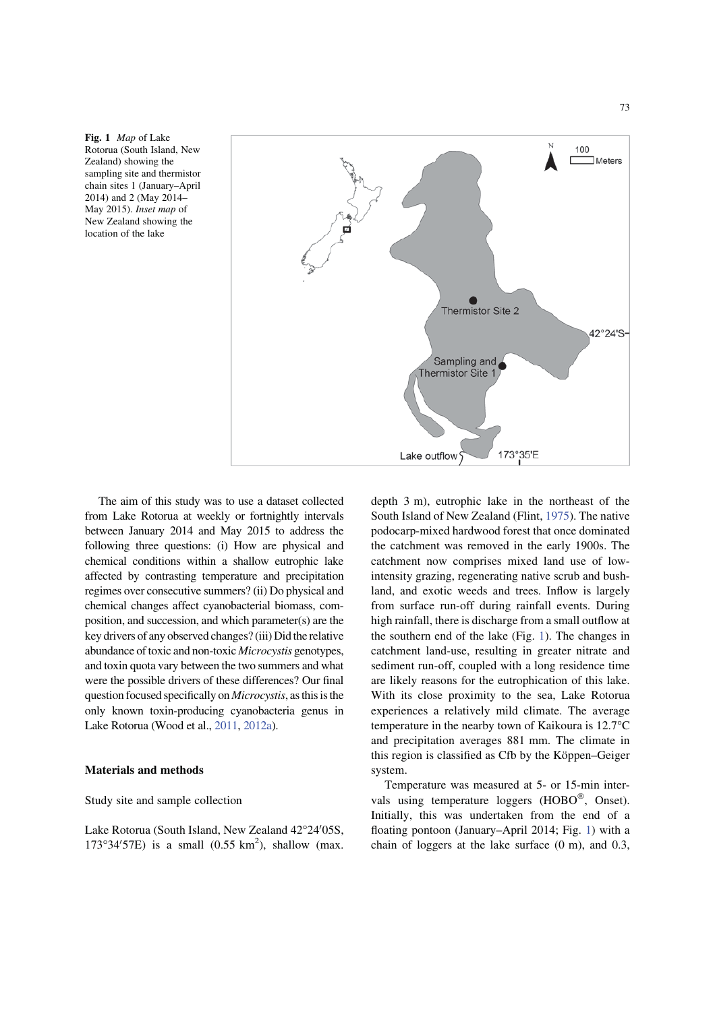Fig. 1 Map of Lake Rotorua (South Island, New Zealand) showing the sampling site and thermistor chain sites 1 (January–April 2014) and 2 (May 2014– May 2015). Inset map of New Zealand showing the location of the lake



The aim of this study was to use a dataset collected from Lake Rotorua at weekly or fortnightly intervals between January 2014 and May 2015 to address the following three questions: (i) How are physical and chemical conditions within a shallow eutrophic lake affected by contrasting temperature and precipitation regimes over consecutive summers? (ii) Do physical and chemical changes affect cyanobacterial biomass, composition, and succession, and which parameter(s) are the key drivers of any observed changes? (iii) Did the relative abundance of toxic and non-toxic Microcystis genotypes, and toxin quota vary between the two summers and what were the possible drivers of these differences? Our final question focused specifically on Microcystis, as this is the only known toxin-producing cyanobacteria genus in Lake Rotorua (Wood et al., 2011, 2012a).

#### Materials and methods

Study site and sample collection

Lake Rotorua (South Island, New Zealand 42°24′05S,  $173^{\circ}34'57E$ ) is a small  $(0.55 \text{ km}^2)$ , shallow (max. depth 3 m), eutrophic lake in the northeast of the South Island of New Zealand (Flint, 1975). The native podocarp-mixed hardwood forest that once dominated the catchment was removed in the early 1900s. The catchment now comprises mixed land use of lowintensity grazing, regenerating native scrub and bushland, and exotic weeds and trees. Inflow is largely from surface run-off during rainfall events. During high rainfall, there is discharge from a small outflow at the southern end of the lake (Fig. 1). The changes in catchment land-use, resulting in greater nitrate and sediment run-off, coupled with a long residence time are likely reasons for the eutrophication of this lake. With its close proximity to the sea, Lake Rotorua experiences a relatively mild climate. The average temperature in the nearby town of Kaikoura is 12.7°C and precipitation averages 881 mm. The climate in this region is classified as Cfb by the Köppen–Geiger system.

Temperature was measured at 5- or 15-min intervals using temperature loggers  $(HOBO^{\circledast})$ , Onset). Initially, this was undertaken from the end of a floating pontoon (January–April 2014; Fig. 1) with a chain of loggers at the lake surface (0 m), and 0.3,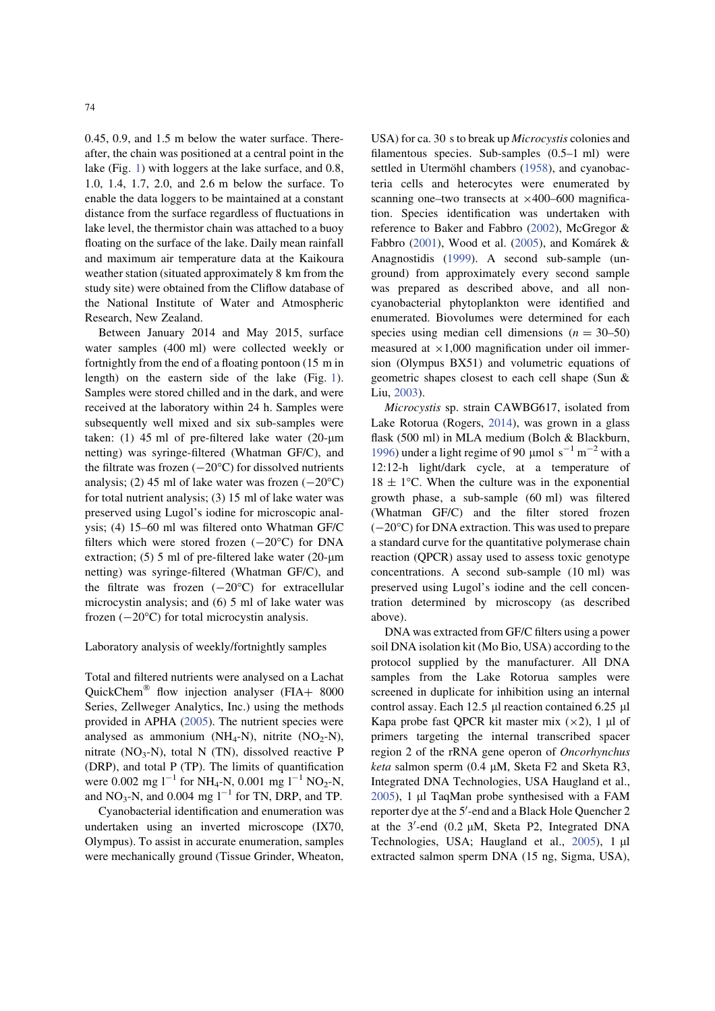0.45, 0.9, and 1.5 m below the water surface. Thereafter, the chain was positioned at a central point in the lake (Fig. 1) with loggers at the lake surface, and 0.8, 1.0, 1.4, 1.7, 2.0, and 2.6 m below the surface. To enable the data loggers to be maintained at a constant distance from the surface regardless of fluctuations in lake level, the thermistor chain was attached to a buoy floating on the surface of the lake. Daily mean rainfall and maximum air temperature data at the Kaikoura weather station (situated approximately 8 km from the study site) were obtained from the Cliflow database of the National Institute of Water and Atmospheric Research, New Zealand.

Between January 2014 and May 2015, surface water samples (400 ml) were collected weekly or fortnightly from the end of a floating pontoon (15 m in length) on the eastern side of the lake (Fig. 1). Samples were stored chilled and in the dark, and were received at the laboratory within 24 h. Samples were subsequently well mixed and six sub-samples were taken: (1) 45 ml of pre-filtered lake water (20- $\mu$ m netting) was syringe-filtered (Whatman GF/C), and the filtrate was frozen  $(-20^{\circ}C)$  for dissolved nutrients analysis; (2) 45 ml of lake water was frozen  $(-20^{\circ}C)$ for total nutrient analysis; (3) 15 ml of lake water was preserved using Lugol's iodine for microscopic analysis; (4) 15–60 ml was filtered onto Whatman GF/C filters which were stored frozen  $(-20^{\circ}C)$  for DNA extraction;  $(5)$  5 ml of pre-filtered lake water  $(20 \text{-} \mu\text{m})$ netting) was syringe-filtered (Whatman GF/C), and the filtrate was frozen  $(-20^{\circ}C)$  for extracellular microcystin analysis; and (6) 5 ml of lake water was frozen  $(-20^{\circ}C)$  for total microcystin analysis.

#### Laboratory analysis of weekly/fortnightly samples

Total and filtered nutrients were analysed on a Lachat QuickChem<sup>®</sup> flow injection analyser (FIA+  $8000$ Series, Zellweger Analytics, Inc.) using the methods provided in APHA (2005). The nutrient species were analysed as ammonium (NH<sub>4</sub>-N), nitrite (NO<sub>2</sub>-N), nitrate  $(NO<sub>3</sub>-N)$ , total N (TN), dissolved reactive P (DRP), and total P (TP). The limits of quantification were 0.002 mg  $1^{-1}$  for NH<sub>4</sub>-N, 0.001 mg  $1^{-1}$  NO<sub>2</sub>-N, and  $NO_3$ -N, and 0.004 mg  $l^{-1}$  for TN, DRP, and TP.

Cyanobacterial identification and enumeration was undertaken using an inverted microscope (IX70, Olympus). To assist in accurate enumeration, samples were mechanically ground (Tissue Grinder, Wheaton,

USA) for ca. 30 s to break up *Microcystis* colonies and filamentous species. Sub-samples (0.5–1 ml) were settled in Utermöhl chambers (1958), and cyanobacteria cells and heterocytes were enumerated by scanning one–two transects at  $\times$ 400–600 magnification. Species identification was undertaken with reference to Baker and Fabbro (2002), McGregor & Fabbro (2001), Wood et al. (2005), and Komárek & Anagnostidis (1999). A second sub-sample (unground) from approximately every second sample was prepared as described above, and all noncyanobacterial phytoplankton were identified and enumerated. Biovolumes were determined for each species using median cell dimensions  $(n = 30-50)$ measured at  $\times$ 1,000 magnification under oil immersion (Olympus BX51) and volumetric equations of geometric shapes closest to each cell shape (Sun & Liu, 2003).

Microcystis sp. strain CAWBG617, isolated from Lake Rotorua (Rogers, 2014), was grown in a glass flask (500 ml) in MLA medium (Bolch & Blackburn, 1996) under a light regime of 90  $\mu$ mol s<sup>-1</sup> m<sup>-2</sup> with a 12:12-h light/dark cycle, at a temperature of  $18 \pm 1$ °C. When the culture was in the exponential growth phase, a sub-sample (60 ml) was filtered (Whatman GF/C) and the filter stored frozen  $(-20^{\circ}C)$  for DNA extraction. This was used to prepare a standard curve for the quantitative polymerase chain reaction (QPCR) assay used to assess toxic genotype concentrations. A second sub-sample (10 ml) was preserved using Lugol's iodine and the cell concentration determined by microscopy (as described above).

DNA was extracted from GF/C filters using a power soil DNA isolation kit (Mo Bio, USA) according to the protocol supplied by the manufacturer. All DNA samples from the Lake Rotorua samples were screened in duplicate for inhibition using an internal control assay. Each 12.5  $\mu$ l reaction contained 6.25  $\mu$ l Kapa probe fast QPCR kit master mix  $(\times 2)$ , 1 µl of primers targeting the internal transcribed spacer region 2 of the rRNA gene operon of Oncorhynchus keta salmon sperm (0.4  $\mu$ M, Sketa F2 and Sketa R3, Integrated DNA Technologies, USA Haugland et al.,  $2005$ ), 1 µl TaqMan probe synthesised with a FAM reporter dye at the 5'-end and a Black Hole Quencher 2 at the  $3'$ -end (0.2  $\mu$ M, Sketa P2, Integrated DNA Technologies, USA; Haugland et al.,  $2005$ ), 1  $\mu$ l extracted salmon sperm DNA (15 ng, Sigma, USA),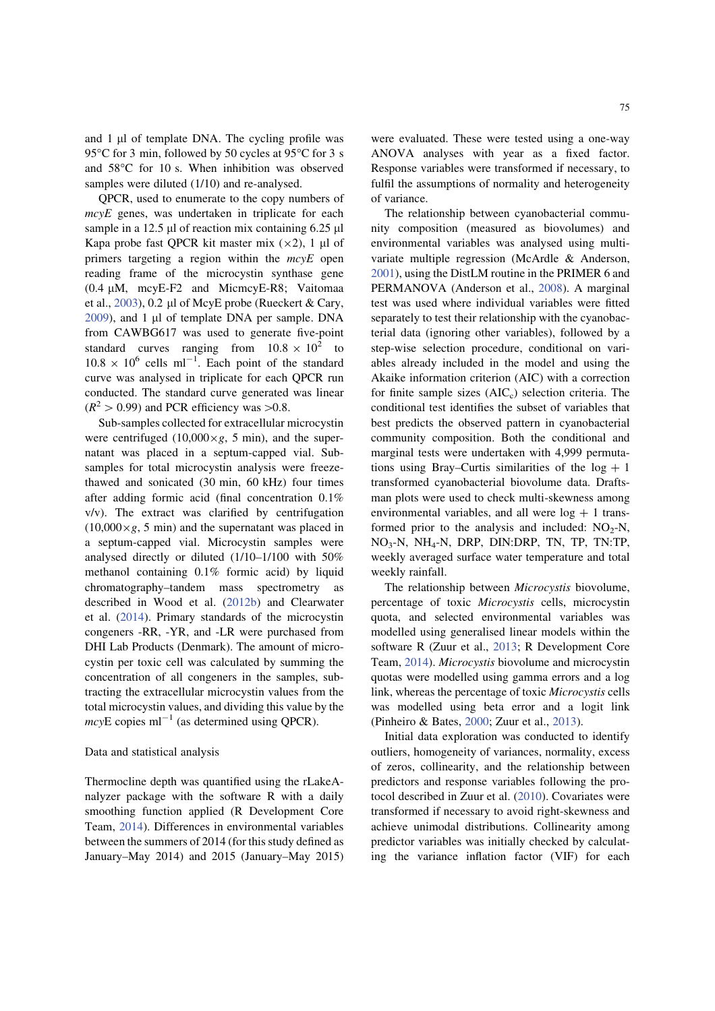and  $1 \mu$ l of template DNA. The cycling profile was 95°C for 3 min, followed by 50 cycles at 95°C for 3 s and 58°C for 10 s. When inhibition was observed samples were diluted (1/10) and re-analysed.

QPCR, used to enumerate to the copy numbers of mcyE genes, was undertaken in triplicate for each sample in a 12.5  $\mu$ l of reaction mix containing 6.25  $\mu$ l Kapa probe fast QPCR kit master mix  $(\times 2)$ , 1 µl of primers targeting a region within the  $mcvE$  open reading frame of the microcystin synthase gene  $(0.4 \mu M,$  mcyE-F2 and MicmcyE-R8; Vaitomaa et al.,  $2003$ ), 0.2 µl of McyE probe (Rueckert & Cary, 2009), and 1 µl of template DNA per sample. DNA from CAWBG617 was used to generate five-point standard curves ranging from  $10.8 \times 10^2$  to  $10.8 \times 10^6$  cells ml<sup>-1</sup>. Each point of the standard curve was analysed in triplicate for each QPCR run conducted. The standard curve generated was linear  $(R^2 > 0.99)$  and PCR efficiency was  $> 0.8$ .

Sub-samples collected for extracellular microcystin were centrifuged  $(10,000 \times g, 5 \text{ min})$ , and the supernatant was placed in a septum-capped vial. Subsamples for total microcystin analysis were freezethawed and sonicated (30 min, 60 kHz) four times after adding formic acid (final concentration 0.1% v/v). The extract was clarified by centrifugation  $(10,000\times g, 5 \text{ min})$  and the supernatant was placed in a septum-capped vial. Microcystin samples were analysed directly or diluted (1/10–1/100 with 50% methanol containing 0.1% formic acid) by liquid chromatography–tandem mass spectrometry as described in Wood et al. (2012b) and Clearwater et al. (2014). Primary standards of the microcystin congeners -RR, -YR, and -LR were purchased from DHI Lab Products (Denmark). The amount of microcystin per toxic cell was calculated by summing the concentration of all congeners in the samples, subtracting the extracellular microcystin values from the total microcystin values, and dividing this value by the  $mcyE$  copies ml<sup>-1</sup> (as determined using QPCR).

### Data and statistical analysis

Thermocline depth was quantified using the rLakeAnalyzer package with the software R with a daily smoothing function applied (R Development Core Team, 2014). Differences in environmental variables between the summers of 2014 (for this study defined as January–May 2014) and 2015 (January–May 2015) were evaluated. These were tested using a one-way ANOVA analyses with year as a fixed factor. Response variables were transformed if necessary, to fulfil the assumptions of normality and heterogeneity of variance.

The relationship between cyanobacterial community composition (measured as biovolumes) and environmental variables was analysed using multivariate multiple regression (McArdle & Anderson, 2001), using the DistLM routine in the PRIMER 6 and PERMANOVA (Anderson et al., 2008). A marginal test was used where individual variables were fitted separately to test their relationship with the cyanobacterial data (ignoring other variables), followed by a step-wise selection procedure, conditional on variables already included in the model and using the Akaike information criterion (AIC) with a correction for finite sample sizes  $(AIC<sub>c</sub>)$  selection criteria. The conditional test identifies the subset of variables that best predicts the observed pattern in cyanobacterial community composition. Both the conditional and marginal tests were undertaken with 4,999 permutations using Bray–Curtis similarities of the  $log + 1$ transformed cyanobacterial biovolume data. Draftsman plots were used to check multi-skewness among environmental variables, and all were  $log + 1$  transformed prior to the analysis and included:  $NO<sub>2</sub>-N$ , NO3-N, NH4-N, DRP, DIN:DRP, TN, TP, TN:TP, weekly averaged surface water temperature and total weekly rainfall.

The relationship between Microcystis biovolume, percentage of toxic Microcystis cells, microcystin quota, and selected environmental variables was modelled using generalised linear models within the software R (Zuur et al., 2013; R Development Core Team, 2014). Microcystis biovolume and microcystin quotas were modelled using gamma errors and a log link, whereas the percentage of toxic Microcystis cells was modelled using beta error and a logit link (Pinheiro & Bates, 2000; Zuur et al., 2013).

Initial data exploration was conducted to identify outliers, homogeneity of variances, normality, excess of zeros, collinearity, and the relationship between predictors and response variables following the protocol described in Zuur et al. (2010). Covariates were transformed if necessary to avoid right-skewness and achieve unimodal distributions. Collinearity among predictor variables was initially checked by calculating the variance inflation factor (VIF) for each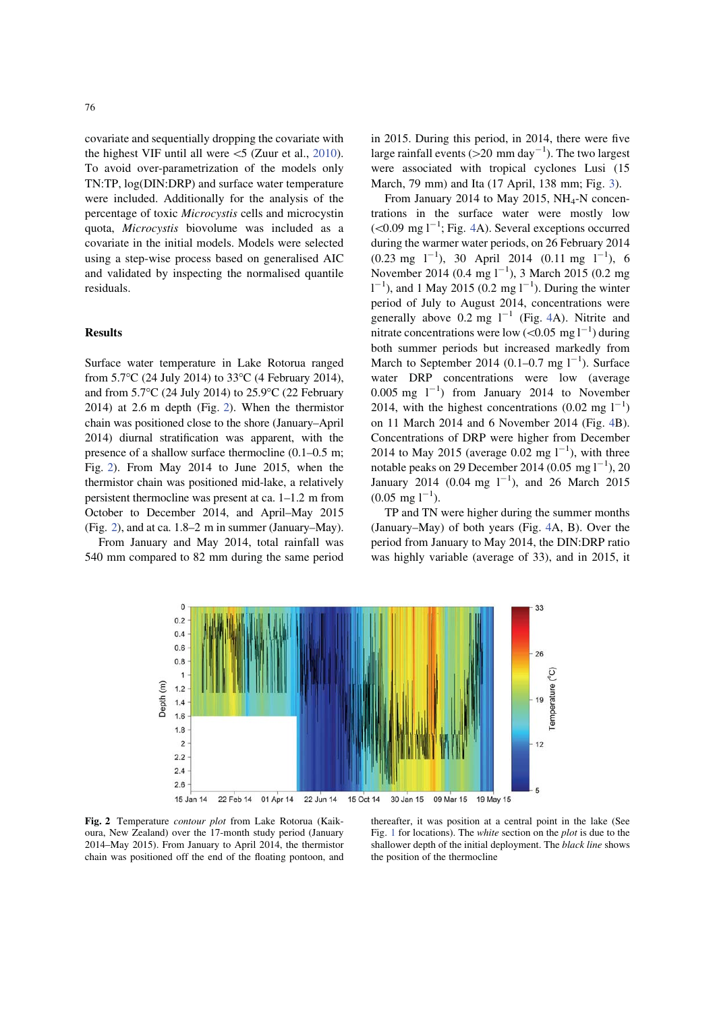covariate and sequentially dropping the covariate with the highest VIF until all were  $\leq$  (Zuur et al., 2010). To avoid over-parametrization of the models only TN:TP, log(DIN:DRP) and surface water temperature were included. Additionally for the analysis of the percentage of toxic Microcystis cells and microcystin quota, Microcystis biovolume was included as a covariate in the initial models. Models were selected using a step-wise process based on generalised AIC and validated by inspecting the normalised quantile residuals.

#### Results

Surface water temperature in Lake Rotorua ranged from 5.7°C (24 July 2014) to 33°C (4 February 2014), and from 5.7°C (24 July 2014) to 25.9°C (22 February 2014) at 2.6 m depth (Fig. 2). When the thermistor chain was positioned close to the shore (January–April 2014) diurnal stratification was apparent, with the presence of a shallow surface thermocline (0.1–0.5 m; Fig. 2). From May 2014 to June 2015, when the thermistor chain was positioned mid-lake, a relatively persistent thermocline was present at ca. 1–1.2 m from October to December 2014, and April–May 2015 (Fig. 2), and at ca. 1.8–2 m in summer (January–May).

From January and May 2014, total rainfall was 540 mm compared to 82 mm during the same period in 2015. During this period, in 2014, there were five large rainfall events (>20 mm day<sup>-1</sup>). The two largest were associated with tropical cyclones Lusi (15 March, 79 mm) and Ita (17 April, 138 mm; Fig. 3).

From January 2014 to May 2015,  $NH<sub>4</sub>-N$  concentrations in the surface water were mostly low  $(< 0.09$  mg l<sup>-1</sup>; Fig. 4A). Several exceptions occurred during the warmer water periods, on 26 February 2014  $(0.23 \text{ mg } 1^{-1})$ , 30 April 2014  $(0.11 \text{ mg } 1^{-1})$ , 6 November 2014 (0.4 mg  $1^{-1}$ ), 3 March 2015 (0.2 mg  $1^{-1}$ ), and 1 May 2015 (0.2 mg  $1^{-1}$ ). During the winter period of July to August 2014, concentrations were generally above 0.2 mg  $1^{-1}$  (Fig. 4A). Nitrite and nitrate concentrations were low ( $\leq 0.05$  mg l<sup>-1</sup>) during both summer periods but increased markedly from March to September 2014 (0.1–0.7 mg  $1^{-1}$ ). Surface water DRP concentrations were low (average  $0.005$  mg  $1^{-1}$ ) from January 2014 to November 2014, with the highest concentrations  $(0.02 \text{ mg } 1^{-1})$ on 11 March 2014 and 6 November 2014 (Fig. 4B). Concentrations of DRP were higher from December 2014 to May 2015 (average 0.02 mg  $1^{-1}$ ), with three notable peaks on 29 December 2014 (0.05 mg  $1^{-1}$ ), 20 January 2014 (0.04 mg  $1^{-1}$ ), and 26 March 2015  $(0.05 \text{ mg } l^{-1}).$ 

TP and TN were higher during the summer months (January–May) of both years (Fig. 4A, B). Over the period from January to May 2014, the DIN:DRP ratio was highly variable (average of 33), and in 2015, it



Fig. 2 Temperature contour plot from Lake Rotorua (Kaikoura, New Zealand) over the 17-month study period (January 2014–May 2015). From January to April 2014, the thermistor chain was positioned off the end of the floating pontoon, and

thereafter, it was position at a central point in the lake (See Fig. 1 for locations). The white section on the plot is due to the shallower depth of the initial deployment. The black line shows the position of the thermocline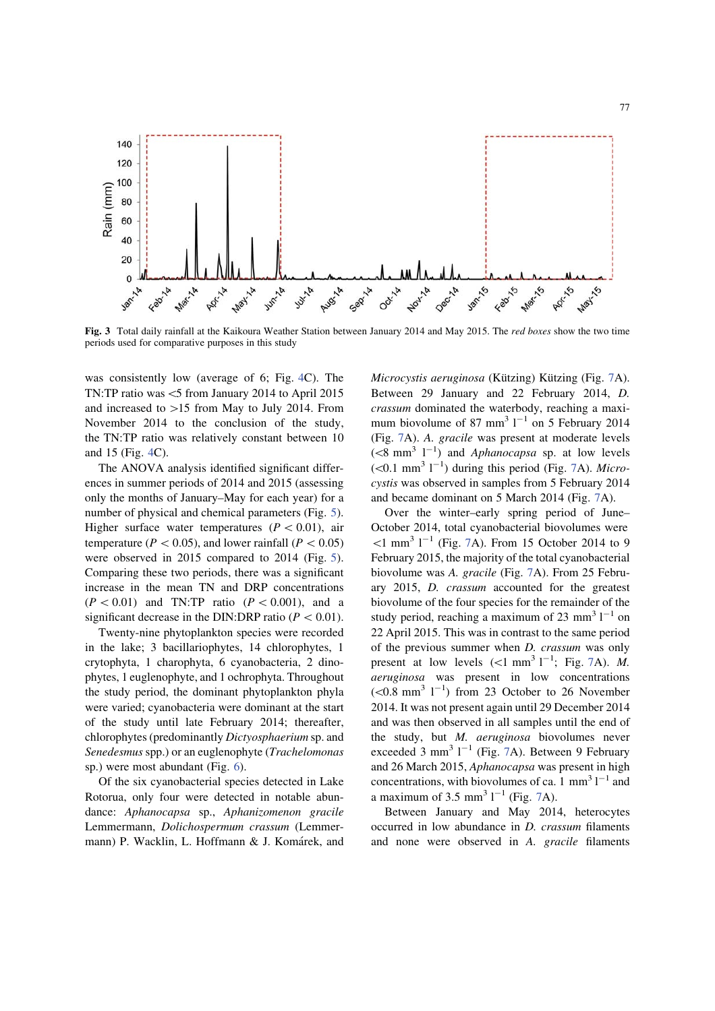

Fig. 3 Total daily rainfall at the Kaikoura Weather Station between January 2014 and May 2015. The red boxes show the two time periods used for comparative purposes in this study

was consistently low (average of 6; Fig. 4C). The TN:TP ratio was  $<$ 5 from January 2014 to April 2015 and increased to  $>15$  from May to July 2014. From November 2014 to the conclusion of the study, the TN:TP ratio was relatively constant between 10 and 15 (Fig. 4C).

The ANOVA analysis identified significant differences in summer periods of 2014 and 2015 (assessing only the months of January–May for each year) for a number of physical and chemical parameters (Fig. 5). Higher surface water temperatures ( $P < 0.01$ ), air temperature ( $P \lt 0.05$ ), and lower rainfall ( $P \lt 0.05$ ) were observed in 2015 compared to 2014 (Fig. 5). Comparing these two periods, there was a significant increase in the mean TN and DRP concentrations  $(P< 0.01)$  and TN:TP ratio  $(P< 0.001)$ , and a significant decrease in the DIN:DRP ratio ( $P < 0.01$ ).

Twenty-nine phytoplankton species were recorded in the lake; 3 bacillariophytes, 14 chlorophytes, 1 crytophyta, 1 charophyta, 6 cyanobacteria, 2 dinophytes, 1 euglenophyte, and 1 ochrophyta. Throughout the study period, the dominant phytoplankton phyla were varied; cyanobacteria were dominant at the start of the study until late February 2014; thereafter, chlorophytes (predominantly Dictyosphaerium sp. and Senedesmus spp.) or an euglenophyte (Trachelomonas sp.) were most abundant (Fig. 6).

Of the six cyanobacterial species detected in Lake Rotorua, only four were detected in notable abundance: Aphanocapsa sp., Aphanizomenon gracile Lemmermann, Dolichospermum crassum (Lemmermann) P. Wacklin, L. Hoffmann & J. Komárek, and

Microcystis aeruginosa (Kützing) Kützing (Fig. 7A). Between 29 January and 22 February 2014, D. crassum dominated the waterbody, reaching a maximum biovolume of 87 mm<sup>3</sup>  $1^{-1}$  on 5 February 2014 (Fig. 7A). A. gracile was present at moderate levels  $(<8$  mm<sup>3</sup> l<sup>-1</sup>) and *Aphanocapsa* sp. at low levels  $(< 0.1$  mm<sup>3</sup> l<sup>-1</sup>) during this period (Fig. 7A). Microcystis was observed in samples from 5 February 2014 and became dominant on 5 March 2014 (Fig. 7A).

Over the winter–early spring period of June– October 2014, total cyanobacterial biovolumes were  $\leq 1$  mm<sup>3</sup> l<sup>-1</sup> (Fig. 7A). From 15 October 2014 to 9 February 2015, the majority of the total cyanobacterial biovolume was A. gracile (Fig. 7A). From 25 February 2015, D. crassum accounted for the greatest biovolume of the four species for the remainder of the study period, reaching a maximum of 23 mm<sup>3</sup>  $1^{-1}$  on 22 April 2015. This was in contrast to the same period of the previous summer when D. crassum was only present at low levels  $(<1$  mm<sup>3</sup> l<sup>-1</sup>; Fig. 7A). M. aeruginosa was present in low concentrations  $(< 0.8$  mm<sup>3</sup> l<sup>-1</sup>) from 23 October to 26 November 2014. It was not present again until 29 December 2014 and was then observed in all samples until the end of the study, but M. aeruginosa biovolumes never exceeded 3 mm<sup>3</sup>  $1^{-1}$  (Fig. 7A). Between 9 February and 26 March 2015, Aphanocapsa was present in high concentrations, with biovolumes of ca.  $1 \text{ mm}^3 1^{-1}$  and a maximum of 3.5 mm<sup>3</sup>  $1^{-1}$  (Fig. 7A).

Between January and May 2014, heterocytes occurred in low abundance in D. crassum filaments and none were observed in A. gracile filaments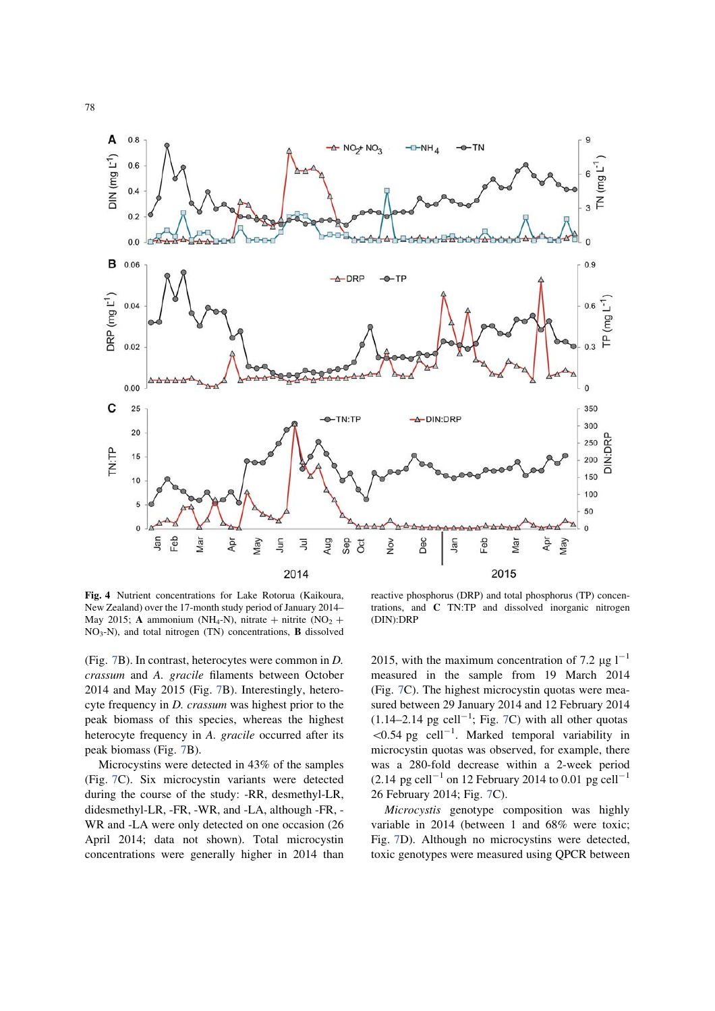

Fig. 4 Nutrient concentrations for Lake Rotorua (Kaikoura, New Zealand) over the 17-month study period of January 2014– May 2015; A ammonium (NH<sub>4</sub>-N), nitrate + nitrite (NO<sub>2</sub> + NO3-N), and total nitrogen (TN) concentrations, B dissolved

(Fig. 7B). In contrast, heterocytes were common in D. crassum and A. gracile filaments between October 2014 and May 2015 (Fig. 7B). Interestingly, heterocyte frequency in D. crassum was highest prior to the peak biomass of this species, whereas the highest heterocyte frequency in A. gracile occurred after its peak biomass (Fig. 7B).

Microcystins were detected in 43% of the samples (Fig. 7C). Six microcystin variants were detected during the course of the study: -RR, desmethyl-LR, didesmethyl-LR, -FR, -WR, and -LA, although -FR, - WR and -LA were only detected on one occasion (26 April 2014; data not shown). Total microcystin concentrations were generally higher in 2014 than

reactive phosphorus (DRP) and total phosphorus (TP) concentrations, and C TN:TP and dissolved inorganic nitrogen (DIN):DRP

2015, with the maximum concentration of 7.2  $\mu$ g l<sup>-1</sup> measured in the sample from 19 March 2014 (Fig. 7C). The highest microcystin quotas were measured between 29 January 2014 and 12 February 2014  $(1.14-2.14 \text{ pg cell}^{-1}; \text{Fig. 7C})$  with all other quotas  $\leq 0.54$  pg cell<sup>-1</sup>. Marked temporal variability in microcystin quotas was observed, for example, there was a 280-fold decrease within a 2-week period  $(2.14 \text{ pg cell}^{-1} \text{ on } 12 \text{ February } 2014 \text{ to } 0.01 \text{ pg cell}^{-1}$ 26 February 2014; Fig. 7C).

Microcystis genotype composition was highly variable in 2014 (between 1 and 68% were toxic; Fig. 7D). Although no microcystins were detected, toxic genotypes were measured using QPCR between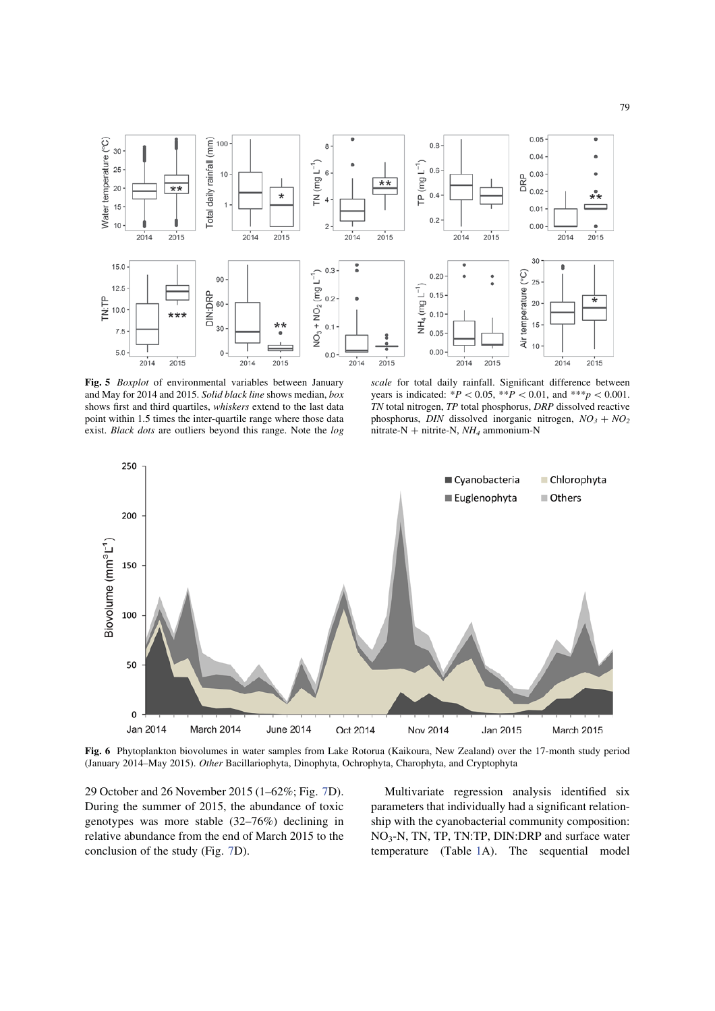

Fig. 5 Boxplot of environmental variables between January and May for 2014 and 2015. Solid black line shows median, box shows first and third quartiles, whiskers extend to the last data point within 1.5 times the inter-quartile range where those data exist. Black dots are outliers beyond this range. Note the log

scale for total daily rainfall. Significant difference between years is indicated: \* $P \le 0.05$ , \*\* $P \le 0.01$ , and \*\*\*p $\le 0.001$ . TN total nitrogen, TP total phosphorus, DRP dissolved reactive phosphorus, DIN dissolved inorganic nitrogen,  $NO_3 + NO_2$ nitrate-N + nitrite-N,  $NH<sub>4</sub>$  ammonium-N



Fig. 6 Phytoplankton biovolumes in water samples from Lake Rotorua (Kaikoura, New Zealand) over the 17-month study period (January 2014–May 2015). Other Bacillariophyta, Dinophyta, Ochrophyta, Charophyta, and Cryptophyta

29 October and 26 November 2015 (1–62%; Fig. 7D). During the summer of 2015, the abundance of toxic genotypes was more stable (32–76%) declining in relative abundance from the end of March 2015 to the conclusion of the study (Fig. 7D).

Multivariate regression analysis identified six parameters that individually had a significant relationship with the cyanobacterial community composition: NO3-N, TN, TP, TN:TP, DIN:DRP and surface water temperature (Table 1A). The sequential model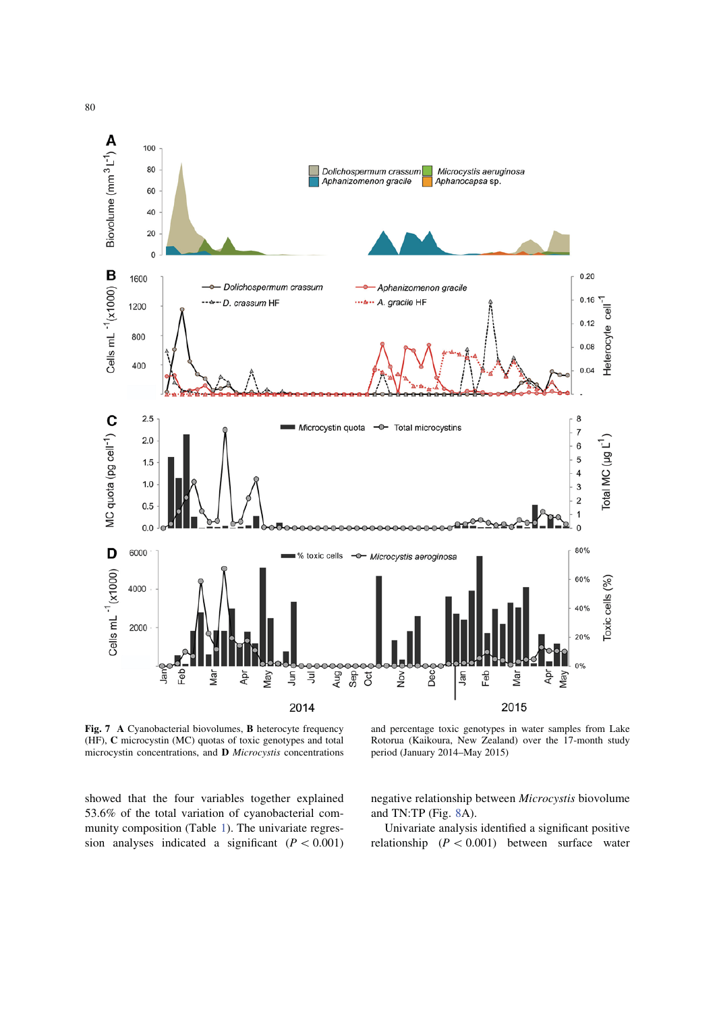

Fig. 7 A Cyanobacterial biovolumes, B heterocyte frequency (HF), C microcystin (MC) quotas of toxic genotypes and total microcystin concentrations, and D Microcystis concentrations

and percentage toxic genotypes in water samples from Lake Rotorua (Kaikoura, New Zealand) over the 17-month study period (January 2014–May 2015)

showed that the four variables together explained 53.6% of the total variation of cyanobacterial community composition (Table 1). The univariate regression analyses indicated a significant  $(P < 0.001)$  negative relationship between Microcystis biovolume and TN:TP (Fig. 8A).

Univariate analysis identified a significant positive relationship  $(P < 0.001)$  between surface water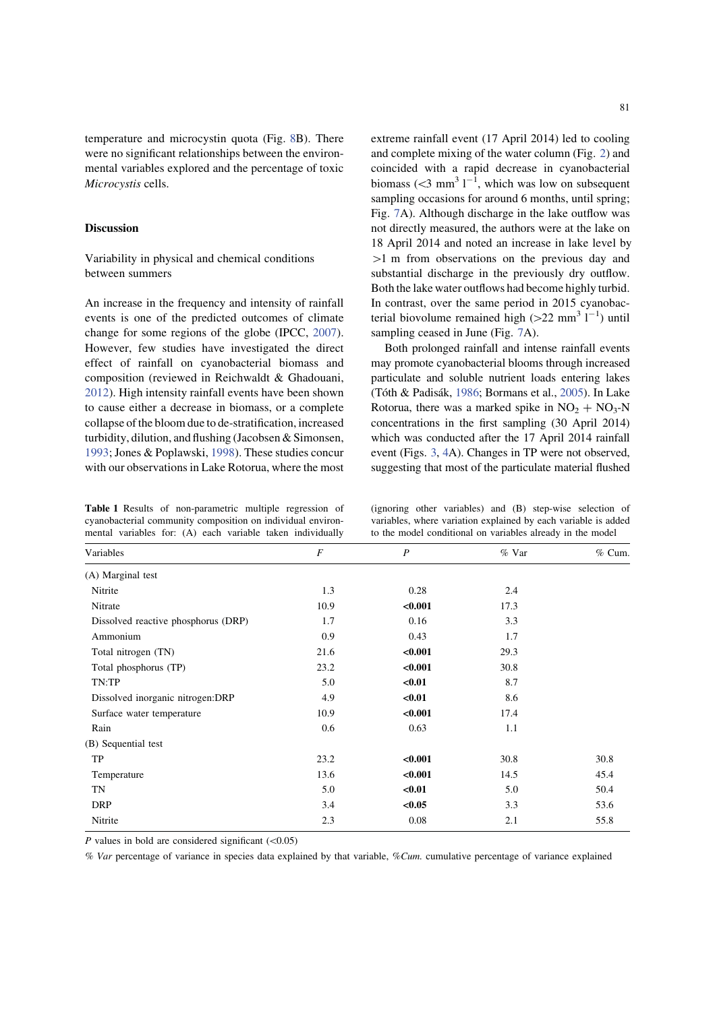temperature and microcystin quota (Fig. 8B). There were no significant relationships between the environmental variables explored and the percentage of toxic Microcystis cells.

#### Discussion

## Variability in physical and chemical conditions between summers

An increase in the frequency and intensity of rainfall events is one of the predicted outcomes of climate change for some regions of the globe (IPCC, 2007). However, few studies have investigated the direct effect of rainfall on cyanobacterial biomass and composition (reviewed in Reichwaldt & Ghadouani, 2012). High intensity rainfall events have been shown to cause either a decrease in biomass, or a complete collapse of the bloom due to de-stratification, increased turbidity, dilution, and flushing (Jacobsen & Simonsen, 1993; Jones & Poplawski, 1998). These studies concur with our observations in Lake Rotorua, where the most

Table 1 Results of non-parametric multiple regression of cyanobacterial community composition on individual environmental variables for: (A) each variable taken individually

extreme rainfall event (17 April 2014) led to cooling and complete mixing of the water column (Fig. 2) and coincided with a rapid decrease in cyanobacterial biomass  $( $3 \text{ mm}^3 1^{-1}$ , which was low on subsequent$ sampling occasions for around 6 months, until spring; Fig. 7A). Although discharge in the lake outflow was not directly measured, the authors were at the lake on 18 April 2014 and noted an increase in lake level by  $>1$  m from observations on the previous day and substantial discharge in the previously dry outflow. Both the lake water outflows had become highly turbid. In contrast, over the same period in 2015 cyanobacterial biovolume remained high  $(>22 \text{ mm}^3 \text{ l}^{-1})$  until sampling ceased in June (Fig. 7A).

Both prolonged rainfall and intense rainfall events may promote cyanobacterial blooms through increased particulate and soluble nutrient loads entering lakes (Tóth & Padisák, 1986; Bormans et al., 2005). In Lake Rotorua, there was a marked spike in  $NO<sub>2</sub> + NO<sub>3</sub>-N$ concentrations in the first sampling (30 April 2014) which was conducted after the 17 April 2014 rainfall event (Figs. 3, 4A). Changes in TP were not observed, suggesting that most of the particulate material flushed

(ignoring other variables) and (B) step-wise selection of variables, where variation explained by each variable is added to the model conditional on variables already in the model

| Variables                           | $\boldsymbol{F}$ | $\boldsymbol{P}$ | $%$ Var | $%$ Cum. |
|-------------------------------------|------------------|------------------|---------|----------|
| (A) Marginal test                   |                  |                  |         |          |
| Nitrite                             | 1.3              | 0.28             | 2.4     |          |
| Nitrate                             | 10.9             | < 0.001          | 17.3    |          |
| Dissolved reactive phosphorus (DRP) | 1.7              | 0.16             | 3.3     |          |
| Ammonium                            | 0.9              | 0.43             | 1.7     |          |
| Total nitrogen (TN)                 | 21.6             | < 0.001          | 29.3    |          |
| Total phosphorus (TP)               | 23.2             | < 0.001          | 30.8    |          |
| TN:TP                               | 5.0              | $0.01$           | 8.7     |          |
| Dissolved inorganic nitrogen:DRP    | 4.9              | $0.01$           | 8.6     |          |
| Surface water temperature           | 10.9             | < 0.001          | 17.4    |          |
| Rain                                | 0.6              | 0.63             | 1.1     |          |
| (B) Sequential test                 |                  |                  |         |          |
| TP                                  | 23.2             | < 0.001          | 30.8    | 30.8     |
| Temperature                         | 13.6             | < 0.001          | 14.5    | 45.4     |
| TN                                  | 5.0              | $0.01$           | 5.0     | 50.4     |
| <b>DRP</b>                          | 3.4              | < 0.05           | 3.3     | 53.6     |
| Nitrite                             | 2.3              | 0.08             | 2.1     | 55.8     |

P values in bold are considered significant  $(<0.05)$ 

% Var percentage of variance in species data explained by that variable, %Cum. cumulative percentage of variance explained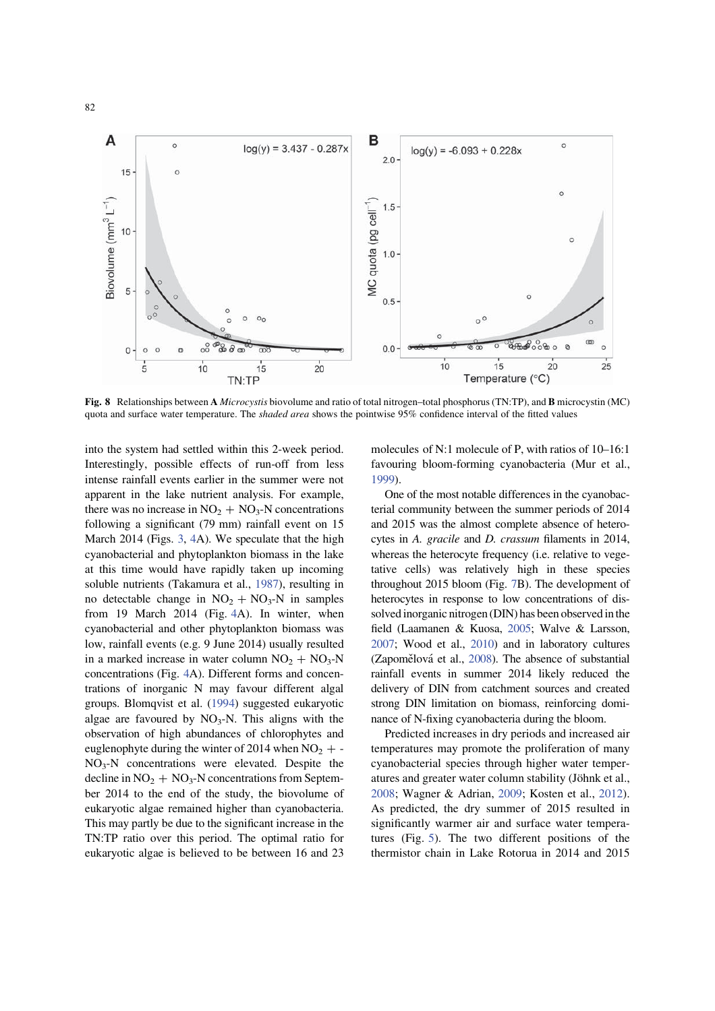

Fig. 8 Relationships between A Microcystis biovolume and ratio of total nitrogen–total phosphorus (TN:TP), and B microcystin (MC) quota and surface water temperature. The shaded area shows the pointwise 95% confidence interval of the fitted values

into the system had settled within this 2-week period. Interestingly, possible effects of run-off from less intense rainfall events earlier in the summer were not apparent in the lake nutrient analysis. For example, there was no increase in  $NO<sub>2</sub> + NO<sub>3</sub> - N$  concentrations following a significant (79 mm) rainfall event on 15 March 2014 (Figs. 3, 4A). We speculate that the high cyanobacterial and phytoplankton biomass in the lake at this time would have rapidly taken up incoming soluble nutrients (Takamura et al., 1987), resulting in no detectable change in  $NO<sub>2</sub> + NO<sub>3</sub>-N$  in samples from 19 March 2014 (Fig. 4A). In winter, when cyanobacterial and other phytoplankton biomass was low, rainfall events (e.g. 9 June 2014) usually resulted in a marked increase in water column  $NO<sub>2</sub> + NO<sub>3</sub> - N$ concentrations (Fig. 4A). Different forms and concentrations of inorganic N may favour different algal groups. Blomqvist et al. (1994) suggested eukaryotic algae are favoured by  $NO_3-N$ . This aligns with the observation of high abundances of chlorophytes and euglenophyte during the winter of 2014 when  $NO<sub>2</sub> + -$ NO3-N concentrations were elevated. Despite the decline in  $NO<sub>2</sub> + NO<sub>3</sub>$ -N concentrations from September 2014 to the end of the study, the biovolume of eukaryotic algae remained higher than cyanobacteria. This may partly be due to the significant increase in the TN:TP ratio over this period. The optimal ratio for eukaryotic algae is believed to be between 16 and 23 molecules of N:1 molecule of P, with ratios of 10–16:1 favouring bloom-forming cyanobacteria (Mur et al., 1999).

One of the most notable differences in the cyanobacterial community between the summer periods of 2014 and 2015 was the almost complete absence of heterocytes in A. gracile and D. crassum filaments in 2014, whereas the heterocyte frequency (i.e. relative to vegetative cells) was relatively high in these species throughout 2015 bloom (Fig. 7B). The development of heterocytes in response to low concentrations of dissolved inorganic nitrogen (DIN) has been observed in the field (Laamanen & Kuosa, 2005; Walve & Larsson, 2007; Wood et al., 2010) and in laboratory cultures (Zapomělová et al.,  $2008$ ). The absence of substantial rainfall events in summer 2014 likely reduced the delivery of DIN from catchment sources and created strong DIN limitation on biomass, reinforcing dominance of N-fixing cyanobacteria during the bloom.

Predicted increases in dry periods and increased air temperatures may promote the proliferation of many cyanobacterial species through higher water temperatures and greater water column stability (Jöhnk et al., 2008; Wagner & Adrian, 2009; Kosten et al., 2012). As predicted, the dry summer of 2015 resulted in significantly warmer air and surface water temperatures (Fig. 5). The two different positions of the thermistor chain in Lake Rotorua in 2014 and 2015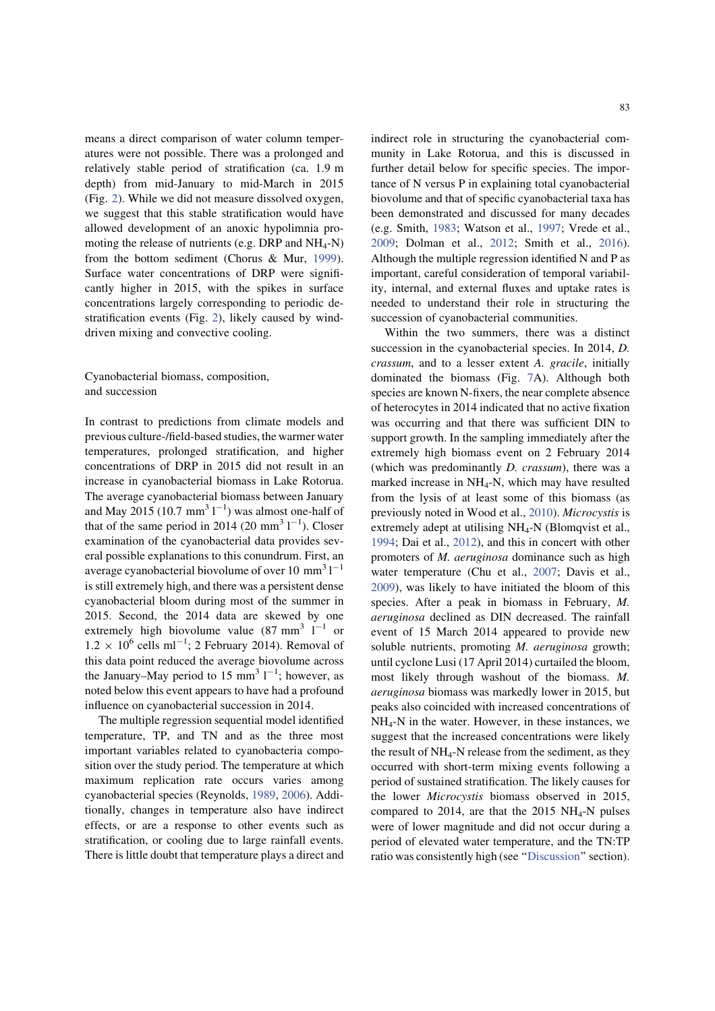means a direct comparison of water column temperatures were not possible. There was a prolonged and relatively stable period of stratification (ca. 1.9 m depth) from mid-January to mid-March in 2015 (Fig. 2). While we did not measure dissolved oxygen, we suggest that this stable stratification would have allowed development of an anoxic hypolimnia promoting the release of nutrients (e.g. DRP and  $NH_4-N$ ) from the bottom sediment (Chorus & Mur, 1999). Surface water concentrations of DRP were significantly higher in 2015, with the spikes in surface concentrations largely corresponding to periodic destratification events (Fig. 2), likely caused by winddriven mixing and convective cooling.

Cyanobacterial biomass, composition, and succession

In contrast to predictions from climate models and previous culture-/field-based studies, the warmer water temperatures, prolonged stratification, and higher concentrations of DRP in 2015 did not result in an increase in cyanobacterial biomass in Lake Rotorua. The average cyanobacterial biomass between January and May 2015 (10.7 mm<sup>3</sup>  $1^{-1}$ ) was almost one-half of that of the same period in 2014 (20 mm<sup>3</sup>  $1^{-1}$ ). Closer examination of the cyanobacterial data provides several possible explanations to this conundrum. First, an average cyanobacterial biovolume of over 10 mm<sup>3</sup>  $1^{-1}$ is still extremely high, and there was a persistent dense cyanobacterial bloom during most of the summer in 2015. Second, the 2014 data are skewed by one extremely high biovolume value  $(87 \text{ mm}^3 \text{ l}^{-1} \text{ or}$  $1.2 \times 10^6$  cells ml<sup>-1</sup>; 2 February 2014). Removal of this data point reduced the average biovolume across the January–May period to 15 mm<sup>3</sup>  $1^{-1}$ ; however, as noted below this event appears to have had a profound influence on cyanobacterial succession in 2014.

The multiple regression sequential model identified temperature, TP, and TN and as the three most important variables related to cyanobacteria composition over the study period. The temperature at which maximum replication rate occurs varies among cyanobacterial species (Reynolds, 1989, 2006). Additionally, changes in temperature also have indirect effects, or are a response to other events such as stratification, or cooling due to large rainfall events. There is little doubt that temperature plays a direct and indirect role in structuring the cyanobacterial community in Lake Rotorua, and this is discussed in further detail below for specific species. The importance of N versus P in explaining total cyanobacterial biovolume and that of specific cyanobacterial taxa has been demonstrated and discussed for many decades (e.g. Smith, 1983; Watson et al., 1997; Vrede et al., 2009; Dolman et al., 2012; Smith et al., 2016). Although the multiple regression identified N and P as important, careful consideration of temporal variability, internal, and external fluxes and uptake rates is needed to understand their role in structuring the succession of cyanobacterial communities.

Within the two summers, there was a distinct succession in the cyanobacterial species. In 2014, *D*. crassum, and to a lesser extent A. gracile, initially dominated the biomass (Fig. 7A). Although both species are known N-fixers, the near complete absence of heterocytes in 2014 indicated that no active fixation was occurring and that there was sufficient DIN to support growth. In the sampling immediately after the extremely high biomass event on 2 February 2014 (which was predominantly D. crassum), there was a marked increase in  $NH<sub>4</sub>-N$ , which may have resulted from the lysis of at least some of this biomass (as previously noted in Wood et al., 2010). Microcystis is extremely adept at utilising NH<sub>4</sub>-N (Blomqvist et al., 1994; Dai et al., 2012), and this in concert with other promoters of M. aeruginosa dominance such as high water temperature (Chu et al., 2007; Davis et al., 2009), was likely to have initiated the bloom of this species. After a peak in biomass in February, M. aeruginosa declined as DIN decreased. The rainfall event of 15 March 2014 appeared to provide new soluble nutrients, promoting *M. aeruginosa* growth; until cyclone Lusi (17 April 2014) curtailed the bloom, most likely through washout of the biomass. M. aeruginosa biomass was markedly lower in 2015, but peaks also coincided with increased concentrations of  $NH<sub>4</sub>-N$  in the water. However, in these instances, we suggest that the increased concentrations were likely the result of  $NH_4$ -N release from the sediment, as they occurred with short-term mixing events following a period of sustained stratification. The likely causes for the lower Microcystis biomass observed in 2015, compared to 2014, are that the 2015  $NH<sub>4</sub>-N$  pulses were of lower magnitude and did not occur during a period of elevated water temperature, and the TN:TP ratio was consistently high (see ''Discussion'' section).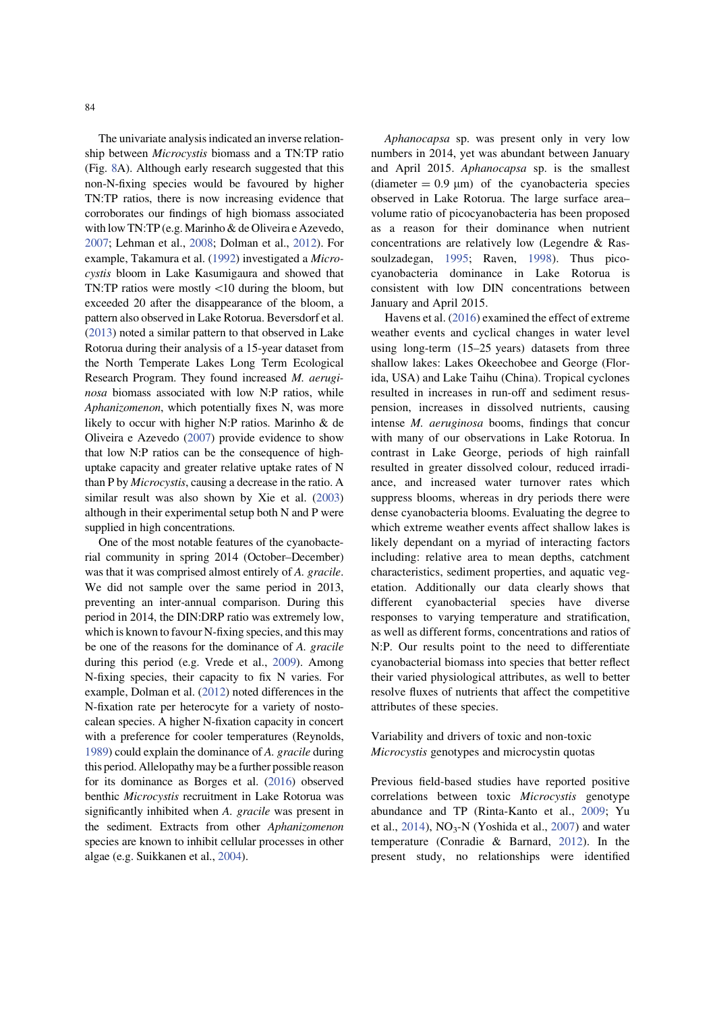The univariate analysis indicated an inverse relationship between Microcystis biomass and a TN:TP ratio (Fig. 8A). Although early research suggested that this non-N-fixing species would be favoured by higher TN:TP ratios, there is now increasing evidence that corroborates our findings of high biomass associated with low TN:TP (e.g. Marinho & de Oliveira e Azevedo, 2007; Lehman et al., 2008; Dolman et al., 2012). For example, Takamura et al. (1992) investigated a Microcystis bloom in Lake Kasumigaura and showed that TN:TP ratios were mostly  $\langle 10 \text{ during the blown, but}$ exceeded 20 after the disappearance of the bloom, a pattern also observed in Lake Rotorua. Beversdorf et al. (2013) noted a similar pattern to that observed in Lake Rotorua during their analysis of a 15-year dataset from the North Temperate Lakes Long Term Ecological Research Program. They found increased M. aeruginosa biomass associated with low N:P ratios, while Aphanizomenon, which potentially fixes N, was more likely to occur with higher N:P ratios. Marinho & de Oliveira e Azevedo (2007) provide evidence to show that low N:P ratios can be the consequence of highuptake capacity and greater relative uptake rates of N than P by Microcystis, causing a decrease in the ratio. A similar result was also shown by Xie et al. (2003) although in their experimental setup both N and P were supplied in high concentrations.

One of the most notable features of the cyanobacterial community in spring 2014 (October–December) was that it was comprised almost entirely of A. gracile. We did not sample over the same period in 2013, preventing an inter-annual comparison. During this period in 2014, the DIN:DRP ratio was extremely low, which is known to favour N-fixing species, and this may be one of the reasons for the dominance of A. gracile during this period (e.g. Vrede et al., 2009). Among N-fixing species, their capacity to fix N varies. For example, Dolman et al. (2012) noted differences in the N-fixation rate per heterocyte for a variety of nostocalean species. A higher N-fixation capacity in concert with a preference for cooler temperatures (Reynolds, 1989) could explain the dominance of A. gracile during this period. Allelopathy may be a further possible reason for its dominance as Borges et al. (2016) observed benthic Microcystis recruitment in Lake Rotorua was significantly inhibited when A. gracile was present in the sediment. Extracts from other Aphanizomenon species are known to inhibit cellular processes in other algae (e.g. Suikkanen et al., 2004).

Aphanocapsa sp. was present only in very low numbers in 2014, yet was abundant between January and April 2015. Aphanocapsa sp. is the smallest (diameter  $= 0.9 \text{ }\mu\text{m}$ ) of the cyanobacteria species observed in Lake Rotorua. The large surface area– volume ratio of picocyanobacteria has been proposed as a reason for their dominance when nutrient concentrations are relatively low (Legendre & Rassoulzadegan, 1995; Raven, 1998). Thus picocyanobacteria dominance in Lake Rotorua is consistent with low DIN concentrations between January and April 2015.

Havens et al. (2016) examined the effect of extreme weather events and cyclical changes in water level using long-term (15–25 years) datasets from three shallow lakes: Lakes Okeechobee and George (Florida, USA) and Lake Taihu (China). Tropical cyclones resulted in increases in run-off and sediment resuspension, increases in dissolved nutrients, causing intense M. aeruginosa booms, findings that concur with many of our observations in Lake Rotorua. In contrast in Lake George, periods of high rainfall resulted in greater dissolved colour, reduced irradiance, and increased water turnover rates which suppress blooms, whereas in dry periods there were dense cyanobacteria blooms. Evaluating the degree to which extreme weather events affect shallow lakes is likely dependant on a myriad of interacting factors including: relative area to mean depths, catchment characteristics, sediment properties, and aquatic vegetation. Additionally our data clearly shows that different cyanobacterial species have diverse responses to varying temperature and stratification, as well as different forms, concentrations and ratios of N:P. Our results point to the need to differentiate cyanobacterial biomass into species that better reflect their varied physiological attributes, as well to better resolve fluxes of nutrients that affect the competitive attributes of these species.

Variability and drivers of toxic and non-toxic Microcystis genotypes and microcystin quotas

Previous field-based studies have reported positive correlations between toxic Microcystis genotype abundance and TP (Rinta-Kanto et al., 2009; Yu et al.,  $2014$ ),  $NO<sub>3</sub>-N$  (Yoshida et al.,  $2007$ ) and water temperature (Conradie & Barnard, 2012). In the present study, no relationships were identified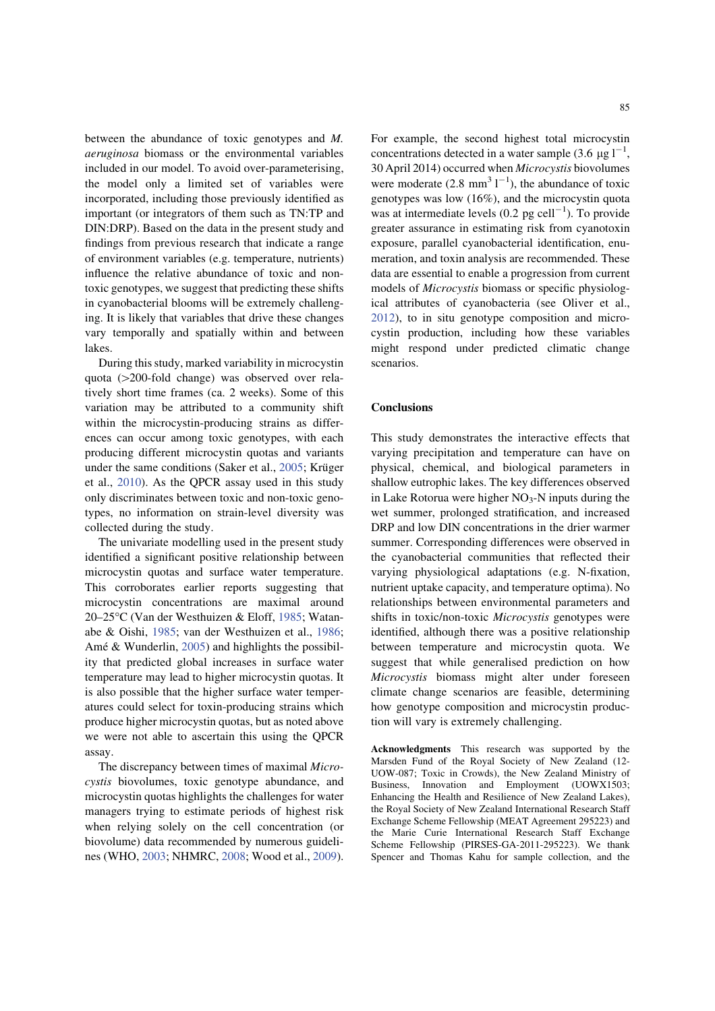between the abundance of toxic genotypes and M. aeruginosa biomass or the environmental variables included in our model. To avoid over-parameterising, the model only a limited set of variables were incorporated, including those previously identified as important (or integrators of them such as TN:TP and DIN:DRP). Based on the data in the present study and findings from previous research that indicate a range of environment variables (e.g. temperature, nutrients) influence the relative abundance of toxic and nontoxic genotypes, we suggest that predicting these shifts in cyanobacterial blooms will be extremely challenging. It is likely that variables that drive these changes vary temporally and spatially within and between lakes.

During this study, marked variability in microcystin quota  $(>200$ -fold change) was observed over relatively short time frames (ca. 2 weeks). Some of this variation may be attributed to a community shift within the microcystin-producing strains as differences can occur among toxic genotypes, with each producing different microcystin quotas and variants under the same conditions (Saker et al.,  $2005$ ; Krüger et al., 2010). As the QPCR assay used in this study only discriminates between toxic and non-toxic genotypes, no information on strain-level diversity was collected during the study.

The univariate modelling used in the present study identified a significant positive relationship between microcystin quotas and surface water temperature. This corroborates earlier reports suggesting that microcystin concentrations are maximal around 20–25°C (Van der Westhuizen & Eloff, 1985; Watanabe & Oishi, 1985; van der Westhuizen et al., 1986; Amé  $&$  Wunderlin, 2005) and highlights the possibility that predicted global increases in surface water temperature may lead to higher microcystin quotas. It is also possible that the higher surface water temperatures could select for toxin-producing strains which produce higher microcystin quotas, but as noted above we were not able to ascertain this using the QPCR assay.

The discrepancy between times of maximal Microcystis biovolumes, toxic genotype abundance, and microcystin quotas highlights the challenges for water managers trying to estimate periods of highest risk when relying solely on the cell concentration (or biovolume) data recommended by numerous guidelines (WHO, 2003; NHMRC, 2008; Wood et al., 2009). For example, the second highest total microcystin concentrations detected in a water sample (3.6  $\mu$ g l<sup>-1</sup>, 30 April 2014) occurred when Microcystis biovolumes were moderate  $(2.8 \text{ mm}^3 \text{ 1}^{-1})$ , the abundance of toxic genotypes was low (16%), and the microcystin quota was at intermediate levels  $(0.2 \text{ pg cell}^{-1})$ . To provide greater assurance in estimating risk from cyanotoxin exposure, parallel cyanobacterial identification, enumeration, and toxin analysis are recommended. These data are essential to enable a progression from current models of Microcystis biomass or specific physiological attributes of cyanobacteria (see Oliver et al., 2012), to in situ genotype composition and microcystin production, including how these variables might respond under predicted climatic change scenarios.

#### Conclusions

This study demonstrates the interactive effects that varying precipitation and temperature can have on physical, chemical, and biological parameters in shallow eutrophic lakes. The key differences observed in Lake Rotorua were higher  $NO<sub>3</sub>-N$  inputs during the wet summer, prolonged stratification, and increased DRP and low DIN concentrations in the drier warmer summer. Corresponding differences were observed in the cyanobacterial communities that reflected their varying physiological adaptations (e.g. N-fixation, nutrient uptake capacity, and temperature optima). No relationships between environmental parameters and shifts in toxic/non-toxic Microcystis genotypes were identified, although there was a positive relationship between temperature and microcystin quota. We suggest that while generalised prediction on how Microcystis biomass might alter under foreseen climate change scenarios are feasible, determining how genotype composition and microcystin production will vary is extremely challenging.

Acknowledgments This research was supported by the Marsden Fund of the Royal Society of New Zealand (12- UOW-087; Toxic in Crowds), the New Zealand Ministry of Business, Innovation and Employment (UOWX1503; Enhancing the Health and Resilience of New Zealand Lakes), the Royal Society of New Zealand International Research Staff Exchange Scheme Fellowship (MEAT Agreement 295223) and the Marie Curie International Research Staff Exchange Scheme Fellowship (PIRSES-GA-2011-295223). We thank Spencer and Thomas Kahu for sample collection, and the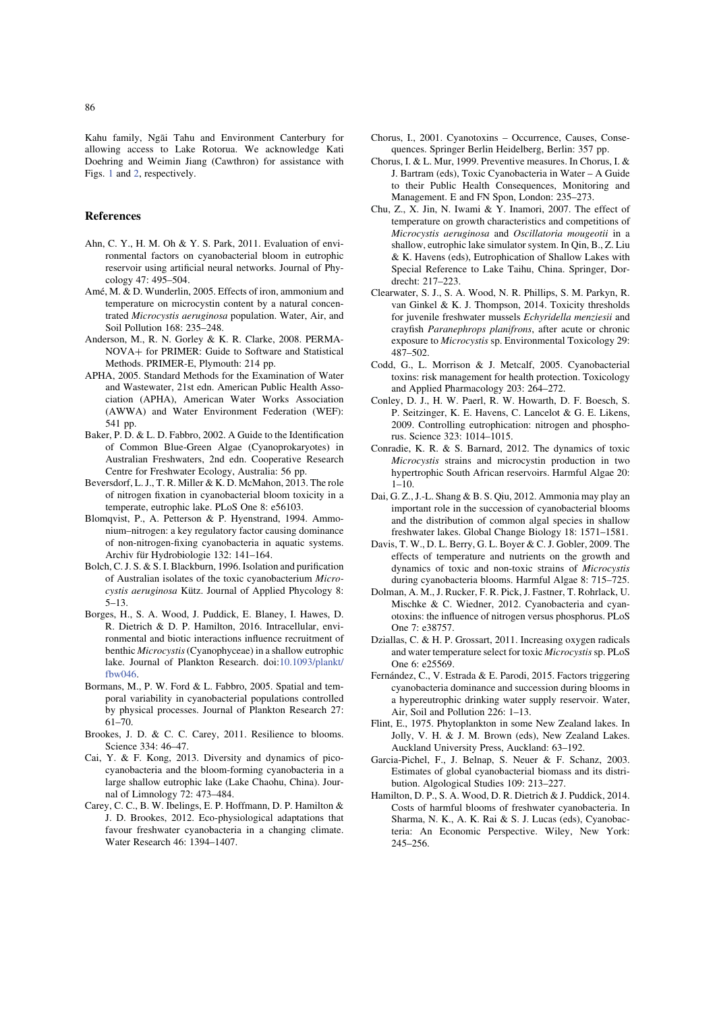Kahu family, Ngai Tahu and Environment Canterbury for allowing access to Lake Rotorua. We acknowledge Kati Doehring and Weimin Jiang (Cawthron) for assistance with Figs. 1 and 2, respectively.

#### References

- Ahn, C. Y., H. M. Oh & Y. S. Park, 2011. Evaluation of environmental factors on cyanobacterial bloom in eutrophic reservoir using artificial neural networks. Journal of Phycology 47: 495–504.
- Amé, M. & D. Wunderlin, 2005. Effects of iron, ammonium and temperature on microcystin content by a natural concentrated Microcystis aeruginosa population. Water, Air, and Soil Pollution 168: 235–248.
- Anderson, M., R. N. Gorley & K. R. Clarke, 2008. PERMA-NOVA+ for PRIMER: Guide to Software and Statistical Methods. PRIMER-E, Plymouth: 214 pp.
- APHA, 2005. Standard Methods for the Examination of Water and Wastewater, 21st edn. American Public Health Association (APHA), American Water Works Association (AWWA) and Water Environment Federation (WEF): 541 pp.
- Baker, P. D. & L. D. Fabbro, 2002. A Guide to the Identification of Common Blue-Green Algae (Cyanoprokaryotes) in Australian Freshwaters, 2nd edn. Cooperative Research Centre for Freshwater Ecology, Australia: 56 pp.
- Beversdorf, L. J., T. R. Miller & K. D. McMahon, 2013. The role of nitrogen fixation in cyanobacterial bloom toxicity in a temperate, eutrophic lake. PLoS One 8: e56103.
- Blomqvist, P., A. Petterson & P. Hyenstrand, 1994. Ammonium–nitrogen: a key regulatory factor causing dominance of non-nitrogen-fixing cyanobacteria in aquatic systems. Archiv für Hydrobiologie 132: 141-164.
- Bolch, C. J. S. & S. I. Blackburn, 1996. Isolation and purification of Australian isolates of the toxic cyanobacterium Microcystis aeruginosa Kütz. Journal of Applied Phycology 8: 5–13.
- Borges, H., S. A. Wood, J. Puddick, E. Blaney, I. Hawes, D. R. Dietrich & D. P. Hamilton, 2016. Intracellular, environmental and biotic interactions influence recruitment of benthic Microcystis(Cyanophyceae) in a shallow eutrophic lake. Journal of Plankton Research. doi:10.1093/plankt/ fbw046.
- Bormans, M., P. W. Ford & L. Fabbro, 2005. Spatial and temporal variability in cyanobacterial populations controlled by physical processes. Journal of Plankton Research 27: 61–70.
- Brookes, J. D. & C. C. Carey, 2011. Resilience to blooms. Science 334: 46–47.
- Cai, Y. & F. Kong, 2013. Diversity and dynamics of picocyanobacteria and the bloom-forming cyanobacteria in a large shallow eutrophic lake (Lake Chaohu, China). Journal of Limnology 72: 473–484.
- Carey, C. C., B. W. Ibelings, E. P. Hoffmann, D. P. Hamilton & J. D. Brookes, 2012. Eco-physiological adaptations that favour freshwater cyanobacteria in a changing climate. Water Research 46: 1394–1407.
- Chorus, I., 2001. Cyanotoxins Occurrence, Causes, Consequences. Springer Berlin Heidelberg, Berlin: 357 pp.
- Chorus, I. & L. Mur, 1999. Preventive measures. In Chorus, I. & J. Bartram (eds), Toxic Cyanobacteria in Water – A Guide to their Public Health Consequences, Monitoring and Management. E and FN Spon, London: 235–273.
- Chu, Z., X. Jin, N. Iwami & Y. Inamori, 2007. The effect of temperature on growth characteristics and competitions of Microcystis aeruginosa and Oscillatoria mougeotii in a shallow, eutrophic lake simulator system. In Qin, B., Z. Liu & K. Havens (eds), Eutrophication of Shallow Lakes with Special Reference to Lake Taihu, China. Springer, Dordrecht: 217–223.
- Clearwater, S. J., S. A. Wood, N. R. Phillips, S. M. Parkyn, R. van Ginkel & K. J. Thompson, 2014. Toxicity thresholds for juvenile freshwater mussels Echyridella menziesii and crayfish Paranephrops planifrons, after acute or chronic exposure to Microcystis sp. Environmental Toxicology 29: 487–502.
- Codd, G., L. Morrison & J. Metcalf, 2005. Cyanobacterial toxins: risk management for health protection. Toxicology and Applied Pharmacology 203: 264–272.
- Conley, D. J., H. W. Paerl, R. W. Howarth, D. F. Boesch, S. P. Seitzinger, K. E. Havens, C. Lancelot & G. E. Likens, 2009. Controlling eutrophication: nitrogen and phosphorus. Science 323: 1014–1015.
- Conradie, K. R. & S. Barnard, 2012. The dynamics of toxic Microcystis strains and microcystin production in two hypertrophic South African reservoirs. Harmful Algae 20:  $1 - 10$ .
- Dai, G. Z., J.-L. Shang & B. S. Qiu, 2012. Ammonia may play an important role in the succession of cyanobacterial blooms and the distribution of common algal species in shallow freshwater lakes. Global Change Biology 18: 1571–1581.
- Davis, T. W., D. L. Berry, G. L. Boyer & C. J. Gobler, 2009. The effects of temperature and nutrients on the growth and dynamics of toxic and non-toxic strains of Microcystis during cyanobacteria blooms. Harmful Algae 8: 715–725.
- Dolman, A. M., J. Rucker, F. R. Pick, J. Fastner, T. Rohrlack, U. Mischke & C. Wiedner, 2012. Cyanobacteria and cyanotoxins: the influence of nitrogen versus phosphorus. PLoS One 7: e38757.
- Dziallas, C. & H. P. Grossart, 2011. Increasing oxygen radicals and water temperature select for toxic Microcystissp. PLoS One 6: e25569.
- Fernández, C., V. Estrada & E. Parodi, 2015. Factors triggering cyanobacteria dominance and succession during blooms in a hypereutrophic drinking water supply reservoir. Water, Air, Soil and Pollution 226: 1–13.
- Flint, E., 1975. Phytoplankton in some New Zealand lakes. In Jolly, V. H. & J. M. Brown (eds), New Zealand Lakes. Auckland University Press, Auckland: 63–192.
- Garcia-Pichel, F., J. Belnap, S. Neuer & F. Schanz, 2003. Estimates of global cyanobacterial biomass and its distribution. Algological Studies 109: 213–227.
- Hamilton, D. P., S. A. Wood, D. R. Dietrich & J. Puddick, 2014. Costs of harmful blooms of freshwater cyanobacteria. In Sharma, N. K., A. K. Rai & S. J. Lucas (eds), Cyanobacteria: An Economic Perspective. Wiley, New York: 245–256.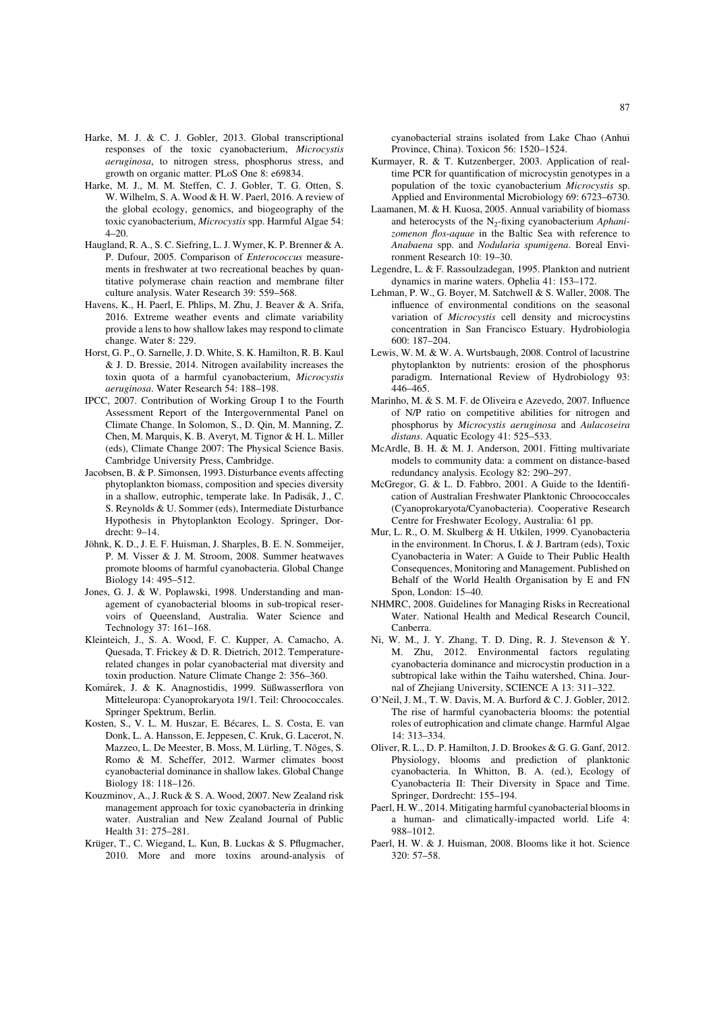- Harke, M. J. & C. J. Gobler, 2013. Global transcriptional responses of the toxic cyanobacterium, Microcystis aeruginosa, to nitrogen stress, phosphorus stress, and growth on organic matter. PLoS One 8: e69834.
- Harke, M. J., M. M. Steffen, C. J. Gobler, T. G. Otten, S. W. Wilhelm, S. A. Wood & H. W. Paerl, 2016. A review of the global ecology, genomics, and biogeography of the toxic cyanobacterium, Microcystis spp. Harmful Algae 54:  $4 - 20.$
- Haugland, R. A., S. C. Siefring, L. J. Wymer, K. P. Brenner & A. P. Dufour, 2005. Comparison of Enterococcus measurements in freshwater at two recreational beaches by quantitative polymerase chain reaction and membrane filter culture analysis. Water Research 39: 559–568.
- Havens, K., H. Paerl, E. Phlips, M. Zhu, J. Beaver & A. Srifa, 2016. Extreme weather events and climate variability provide a lens to how shallow lakes may respond to climate change. Water 8: 229.
- Horst, G. P., O. Sarnelle, J. D. White, S. K. Hamilton, R. B. Kaul & J. D. Bressie, 2014. Nitrogen availability increases the toxin quota of a harmful cyanobacterium, Microcystis aeruginosa. Water Research 54: 188–198.
- IPCC, 2007. Contribution of Working Group I to the Fourth Assessment Report of the Intergovernmental Panel on Climate Change. In Solomon, S., D. Qin, M. Manning, Z. Chen, M. Marquis, K. B. Averyt, M. Tignor & H. L. Miller (eds), Climate Change 2007: The Physical Science Basis. Cambridge University Press, Cambridge.
- Jacobsen, B. & P. Simonsen, 1993. Disturbance events affecting phytoplankton biomass, composition and species diversity in a shallow, eutrophic, temperate lake. In Padisák, J., C. S. Reynolds & U. Sommer (eds), Intermediate Disturbance Hypothesis in Phytoplankton Ecology. Springer, Dordrecht: 9–14.
- Jöhnk, K. D., J. E. F. Huisman, J. Sharples, B. E. N. Sommeijer, P. M. Visser & J. M. Stroom, 2008. Summer heatwaves promote blooms of harmful cyanobacteria. Global Change Biology 14: 495–512.
- Jones, G. J. & W. Poplawski, 1998. Understanding and management of cyanobacterial blooms in sub-tropical reservoirs of Queensland, Australia. Water Science and Technology 37: 161–168.
- Kleinteich, J., S. A. Wood, F. C. Kupper, A. Camacho, A. Quesada, T. Frickey & D. R. Dietrich, 2012. Temperaturerelated changes in polar cyanobacterial mat diversity and toxin production. Nature Climate Change 2: 356–360.
- Komárek, J. & K. Anagnostidis, 1999. Süßwasserflora von Mitteleuropa: Cyanoprokaryota 19/1. Teil: Chroococcales. Springer Spektrum, Berlin.
- Kosten, S., V. L. M. Huszar, E. Bécares, L. S. Costa, E. van Donk, L. A. Hansson, E. Jeppesen, C. Kruk, G. Lacerot, N. Mazzeo, L. De Meester, B. Moss, M. Lürling, T. Nõges, S. Romo & M. Scheffer, 2012. Warmer climates boost cyanobacterial dominance in shallow lakes. Global Change Biology 18: 118–126.
- Kouzminov, A., J. Ruck & S. A. Wood, 2007. New Zealand risk management approach for toxic cyanobacteria in drinking water. Australian and New Zealand Journal of Public Health 31: 275–281.
- Krüger, T., C. Wiegand, L. Kun, B. Luckas & S. Pflugmacher, 2010. More and more toxins around-analysis of

cyanobacterial strains isolated from Lake Chao (Anhui Province, China). Toxicon 56: 1520–1524.

- Kurmayer, R. & T. Kutzenberger, 2003. Application of realtime PCR for quantification of microcystin genotypes in a population of the toxic cyanobacterium Microcystis sp. Applied and Environmental Microbiology 69: 6723–6730.
- Laamanen, M. & H. Kuosa, 2005. Annual variability of biomass and heterocysts of the  $N_2$ -fixing cyanobacterium Aphanizomenon flos-aquae in the Baltic Sea with reference to Anabaena spp. and Nodularia spumigena. Boreal Environment Research 10: 19–30.
- Legendre, L. & F. Rassoulzadegan, 1995. Plankton and nutrient dynamics in marine waters. Ophelia 41: 153–172.
- Lehman, P. W., G. Boyer, M. Satchwell & S. Waller, 2008. The influence of environmental conditions on the seasonal variation of Microcystis cell density and microcystins concentration in San Francisco Estuary. Hydrobiologia 600: 187–204.
- Lewis, W. M. & W. A. Wurtsbaugh, 2008. Control of lacustrine phytoplankton by nutrients: erosion of the phosphorus paradigm. International Review of Hydrobiology 93: 446–465.
- Marinho, M. & S. M. F. de Oliveira e Azevedo, 2007. Influence of N/P ratio on competitive abilities for nitrogen and phosphorus by Microcystis aeruginosa and Aulacoseira distans. Aquatic Ecology 41: 525-533.
- McArdle, B. H. & M. J. Anderson, 2001. Fitting multivariate models to community data: a comment on distance-based redundancy analysis. Ecology 82: 290–297.
- McGregor, G. & L. D. Fabbro, 2001. A Guide to the Identification of Australian Freshwater Planktonic Chroococcales (Cyanoprokaryota/Cyanobacteria). Cooperative Research Centre for Freshwater Ecology, Australia: 61 pp.
- Mur, L. R., O. M. Skulberg & H. Utkilen, 1999. Cyanobacteria in the environment. In Chorus, I. & J. Bartram (eds), Toxic Cyanobacteria in Water: A Guide to Their Public Health Consequences, Monitoring and Management. Published on Behalf of the World Health Organisation by E and FN Spon, London: 15–40.
- NHMRC, 2008. Guidelines for Managing Risks in Recreational Water. National Health and Medical Research Council, Canberra.
- Ni, W. M., J. Y. Zhang, T. D. Ding, R. J. Stevenson & Y. M. Zhu, 2012. Environmental factors regulating cyanobacteria dominance and microcystin production in a subtropical lake within the Taihu watershed, China. Journal of Zhejiang University, SCIENCE A 13: 311–322.
- O'Neil, J. M., T. W. Davis, M. A. Burford & C. J. Gobler, 2012. The rise of harmful cyanobacteria blooms: the potential roles of eutrophication and climate change. Harmful Algae 14: 313–334.
- Oliver, R. L., D. P. Hamilton, J. D. Brookes & G. G. Ganf, 2012. Physiology, blooms and prediction of planktonic cyanobacteria. In Whitton, B. A. (ed.), Ecology of Cyanobacteria II: Their Diversity in Space and Time. Springer, Dordrecht: 155–194.
- Paerl, H. W., 2014. Mitigating harmful cyanobacterial blooms in a human- and climatically-impacted world. Life 4: 988–1012.
- Paerl, H. W. & J. Huisman, 2008. Blooms like it hot. Science 320: 57–58.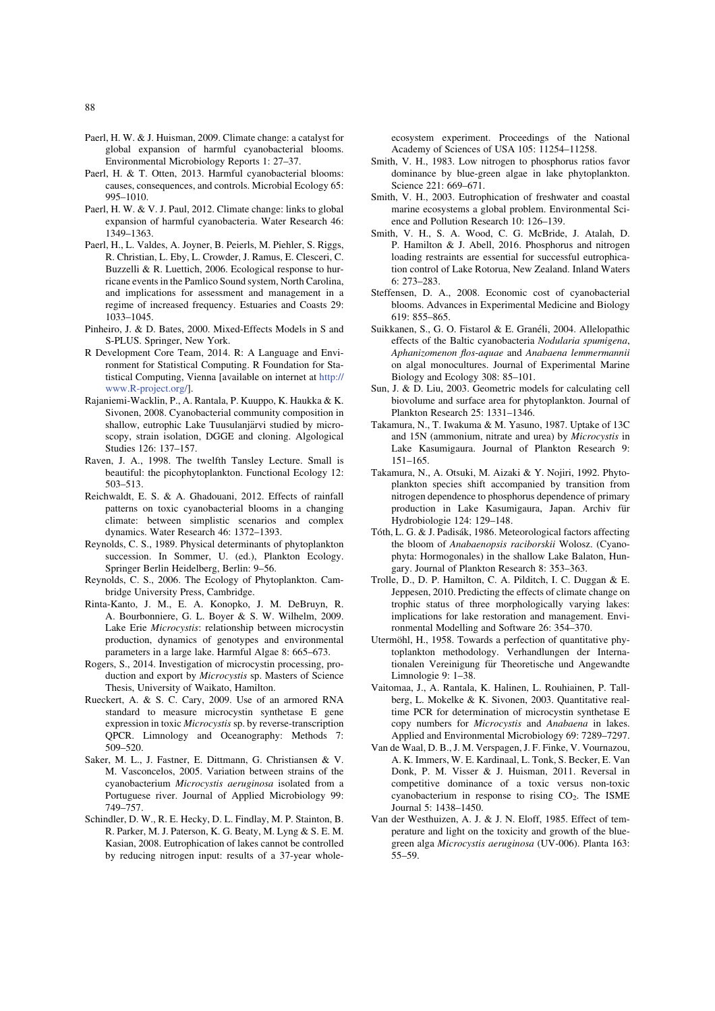- Paerl, H. W. & J. Huisman, 2009. Climate change: a catalyst for global expansion of harmful cyanobacterial blooms. Environmental Microbiology Reports 1: 27–37.
- Paerl, H. & T. Otten, 2013. Harmful cyanobacterial blooms: causes, consequences, and controls. Microbial Ecology 65: 995–1010.
- Paerl, H. W. & V. J. Paul, 2012. Climate change: links to global expansion of harmful cyanobacteria. Water Research 46: 1349–1363.
- Paerl, H., L. Valdes, A. Joyner, B. Peierls, M. Piehler, S. Riggs, R. Christian, L. Eby, L. Crowder, J. Ramus, E. Clesceri, C. Buzzelli & R. Luettich, 2006. Ecological response to hurricane events in the Pamlico Sound system, North Carolina, and implications for assessment and management in a regime of increased frequency. Estuaries and Coasts 29: 1033–1045.
- Pinheiro, J. & D. Bates, 2000. Mixed-Effects Models in S and S-PLUS. Springer, New York.
- R Development Core Team, 2014. R: A Language and Environment for Statistical Computing. R Foundation for Statistical Computing, Vienna [available on internet at http:// www.R-project.org/].
- Rajaniemi-Wacklin, P., A. Rantala, P. Kuuppo, K. Haukka & K. Sivonen, 2008. Cyanobacterial community composition in shallow, eutrophic Lake Tuusulanjärvi studied by microscopy, strain isolation, DGGE and cloning. Algological Studies 126: 137–157.
- Raven, J. A., 1998. The twelfth Tansley Lecture. Small is beautiful: the picophytoplankton. Functional Ecology 12: 503–513.
- Reichwaldt, E. S. & A. Ghadouani, 2012. Effects of rainfall patterns on toxic cyanobacterial blooms in a changing climate: between simplistic scenarios and complex dynamics. Water Research 46: 1372–1393.
- Reynolds, C. S., 1989. Physical determinants of phytoplankton succession. In Sommer, U. (ed.), Plankton Ecology. Springer Berlin Heidelberg, Berlin: 9–56.
- Reynolds, C. S., 2006. The Ecology of Phytoplankton. Cambridge University Press, Cambridge.
- Rinta-Kanto, J. M., E. A. Konopko, J. M. DeBruyn, R. A. Bourbonniere, G. L. Boyer & S. W. Wilhelm, 2009. Lake Erie Microcystis: relationship between microcystin production, dynamics of genotypes and environmental parameters in a large lake. Harmful Algae 8: 665–673.
- Rogers, S., 2014. Investigation of microcystin processing, production and export by Microcystis sp. Masters of Science Thesis, University of Waikato, Hamilton.
- Rueckert, A. & S. C. Cary, 2009. Use of an armored RNA standard to measure microcystin synthetase E gene expression in toxic Microcystis sp. by reverse-transcription QPCR. Limnology and Oceanography: Methods 7: 509–520.
- Saker, M. L., J. Fastner, E. Dittmann, G. Christiansen & V. M. Vasconcelos, 2005. Variation between strains of the cyanobacterium Microcystis aeruginosa isolated from a Portuguese river. Journal of Applied Microbiology 99: 749–757.
- Schindler, D. W., R. E. Hecky, D. L. Findlay, M. P. Stainton, B. R. Parker, M. J. Paterson, K. G. Beaty, M. Lyng & S. E. M. Kasian, 2008. Eutrophication of lakes cannot be controlled by reducing nitrogen input: results of a 37-year whole-

ecosystem experiment. Proceedings of the National Academy of Sciences of USA 105: 11254–11258.

- Smith, V. H., 1983. Low nitrogen to phosphorus ratios favor dominance by blue-green algae in lake phytoplankton. Science 221: 669–671.
- Smith, V. H., 2003. Eutrophication of freshwater and coastal marine ecosystems a global problem. Environmental Science and Pollution Research 10: 126–139.
- Smith, V. H., S. A. Wood, C. G. McBride, J. Atalah, D. P. Hamilton & J. Abell, 2016. Phosphorus and nitrogen loading restraints are essential for successful eutrophication control of Lake Rotorua, New Zealand. Inland Waters 6: 273–283.
- Steffensen, D. A., 2008. Economic cost of cyanobacterial blooms. Advances in Experimental Medicine and Biology 619: 855–865.
- Suikkanen, S., G. O. Fistarol & E. Granéli, 2004. Allelopathic effects of the Baltic cyanobacteria Nodularia spumigena, Aphanizomenon flos-aquae and Anabaena lemmermannii on algal monocultures. Journal of Experimental Marine Biology and Ecology 308: 85–101.
- Sun, J. & D. Liu, 2003. Geometric models for calculating cell biovolume and surface area for phytoplankton. Journal of Plankton Research 25: 1331–1346.
- Takamura, N., T. Iwakuma & M. Yasuno, 1987. Uptake of 13C and 15N (ammonium, nitrate and urea) by Microcystis in Lake Kasumigaura. Journal of Plankton Research 9: 151–165.
- Takamura, N., A. Otsuki, M. Aizaki & Y. Nojiri, 1992. Phytoplankton species shift accompanied by transition from nitrogen dependence to phosphorus dependence of primary production in Lake Kasumigaura, Japan. Archiv für Hydrobiologie 124: 129–148.
- Tóth, L. G. & J. Padisák, 1986. Meteorological factors affecting the bloom of Anabaenopsis raciborskii Wolosz. (Cyanophyta: Hormogonales) in the shallow Lake Balaton, Hungary. Journal of Plankton Research 8: 353–363.
- Trolle, D., D. P. Hamilton, C. A. Pilditch, I. C. Duggan & E. Jeppesen, 2010. Predicting the effects of climate change on trophic status of three morphologically varying lakes: implications for lake restoration and management. Environmental Modelling and Software 26: 354–370.
- Utermöhl, H., 1958. Towards a perfection of quantitative phytoplankton methodology. Verhandlungen der Internationalen Vereinigung für Theoretische und Angewandte Limnologie 9: 1–38.
- Vaitomaa, J., A. Rantala, K. Halinen, L. Rouhiainen, P. Tallberg, L. Mokelke & K. Sivonen, 2003. Quantitative realtime PCR for determination of microcystin synthetase E copy numbers for Microcystis and Anabaena in lakes. Applied and Environmental Microbiology 69: 7289–7297.
- Van de Waal, D. B., J. M. Verspagen, J. F. Finke, V. Vournazou, A. K. Immers, W. E. Kardinaal, L. Tonk, S. Becker, E. Van Donk, P. M. Visser & J. Huisman, 2011. Reversal in competitive dominance of a toxic versus non-toxic cyanobacterium in response to rising  $CO<sub>2</sub>$ . The ISME Journal 5: 1438–1450.
- Van der Westhuizen, A. J. & J. N. Eloff, 1985. Effect of temperature and light on the toxicity and growth of the bluegreen alga Microcystis aeruginosa (UV-006). Planta 163: 55–59.